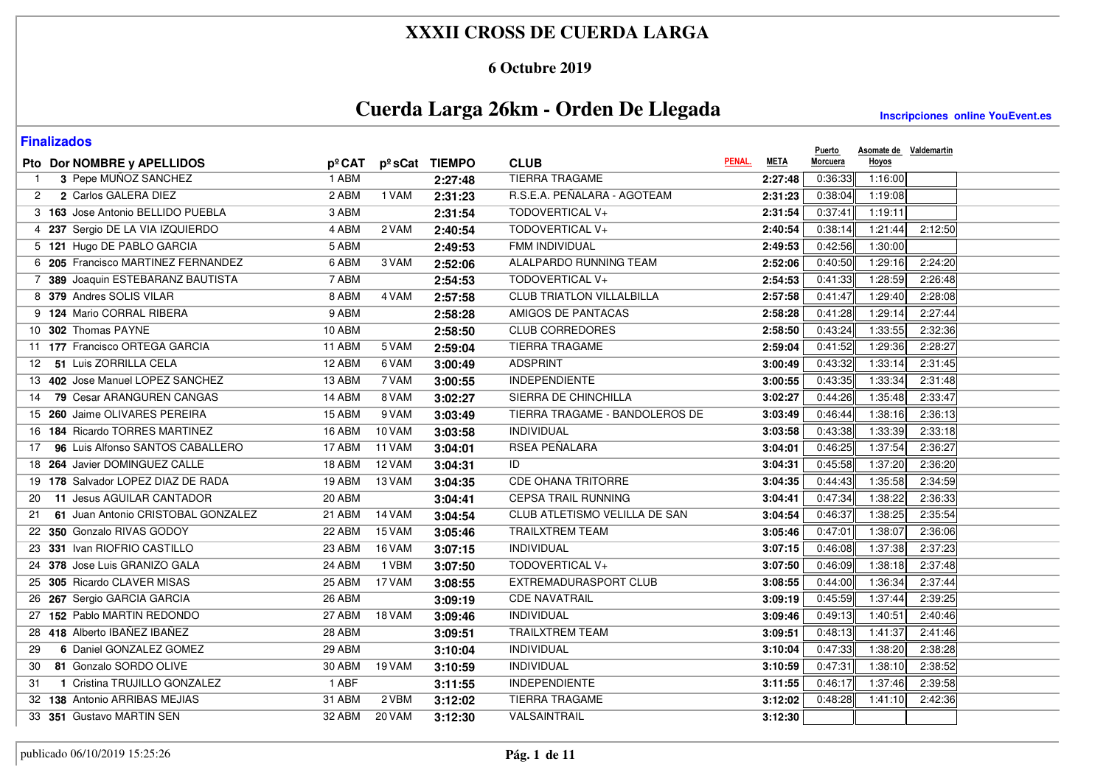### **6 Octubre 2019**

# **Cuerda Larga 26km - Orden De Llegada**

| <b>Finalizados</b>                       |        |        |               |                                  |             | <b>Puerto</b> | Asomate de Valdemartin |         |
|------------------------------------------|--------|--------|---------------|----------------------------------|-------------|---------------|------------------------|---------|
| Pto Dor NOMBRE y APELLIDOS               | pºCAT  |        | pºsCat TIEMPO | PENAL.<br><b>CLUB</b>            | <b>META</b> | Morcuera      | Hoyos                  |         |
| 3 Pepe MUÑOZ SANCHEZ                     | 1 ABM  |        | 2:27:48       | <b>TIERRA TRAGAME</b>            | 2:27:48     | 0:36:33       | 1:16:00                |         |
| 2 Carlos GALERA DIEZ<br>2                | 2 ABM  | 1 VAM  | 2:31:23       | R.S.E.A. PEÑALARA - AGOTEAM      | 2:31:23     | 0:38:04       | 1:19:08                |         |
| 3 163 Jose Antonio BELLIDO PUEBLA        | 3 ABM  |        | 2:31:54       | TODOVERTICAL V+                  | 2:31:54     | 0:37:41       | 1:19:11                |         |
| 4 237 Sergio DE LA VIA IZQUIERDO         | 4 ABM  | 2 VAM  | 2:40:54       | TODOVERTICAL V+                  | 2:40:54     | 0:38:14       | 1:21:44                | 2:12:50 |
| 5 121 Hugo DE PABLO GARCIA               | 5 ABM  |        | 2:49:53       | FMM INDIVIDUAL                   | 2:49:53     | 0:42:56       | 1:30:00                |         |
| 6 205 Francisco MARTINEZ FERNANDEZ       | 6 ABM  | 3 VAM  | 2:52:06       | ALALPARDO RUNNING TEAM           | 2:52:06     | 0:40:50       | 1:29:16                | 2:24:20 |
| 7 389 Joaquin ESTEBARANZ BAUTISTA        | 7 ABM  |        | 2:54:53       | TODOVERTICAL V+                  | 2:54:53     | 0:41:33       | 1:28:59                | 2:26:48 |
| 8 379 Andres SOLIS VILAR                 | 8 ABM  | 4 VAM  | 2:57:58       | <b>CLUB TRIATLON VILLALBILLA</b> | 2:57:58     | 0:41:47       | 1:29:40                | 2:28:08 |
| 9 124 Mario CORRAL RIBERA                | 9 ABM  |        | 2:58:28       | AMIGOS DE PANTACAS               | 2:58:28     | 0:41:28       | 1:29:14                | 2:27:44 |
| 10 302 Thomas PAYNE                      | 10 ABM |        | 2:58:50       | <b>CLUB CORREDORES</b>           | 2:58:50     | 0:43:24       | 1:33:55                | 2:32:36 |
| 11 177 Francisco ORTEGA GARCIA           | 11 ABM | 5 VAM  | 2:59:04       | <b>TIERRA TRAGAME</b>            | 2:59:04     | 0:41:52       | 1:29:36                | 2:28:27 |
| 12 51 Luis ZORRILLA CELA                 | 12 ABM | 6 VAM  | 3:00:49       | <b>ADSPRINT</b>                  | 3:00:49     | 0:43:32       | 1:33:14                | 2:31:45 |
| 13 402 Jose Manuel LOPEZ SANCHEZ         | 13 ABM | 7 VAM  | 3:00:55       | <b>INDEPENDIENTE</b>             | 3:00:55     | 0:43:35       | 1:33:34                | 2:31:48 |
| 79 Cesar ARANGUREN CANGAS<br>14          | 14 ABM | 8 VAM  | 3:02:27       | SIERRA DE CHINCHILLA             | 3:02:27     | 0:44:26       | 1:35:48                | 2:33:47 |
| 15 260 Jaime OLIVARES PEREIRA            | 15 ABM | 9 VAM  | 3:03:49       | TIERRA TRAGAME - BANDOLEROS DE   | 3:03:49     | 0:46:44       | 1:38:16                | 2:36:13 |
| 16 184 Ricardo TORRES MARTINEZ           | 16 ABM | 10 VAM | 3:03:58       | <b>INDIVIDUAL</b>                | 3:03:58     | 0:43:38       | 1:33:39                | 2:33:18 |
| 96 Luis Alfonso SANTOS CABALLERO<br>17   | 17 ABM | 11 VAM | 3:04:01       | RSEA PEÑALARA                    | 3:04:01     | 0:46:25       | 1:37:54                | 2:36:27 |
| 18 264 Javier DOMINGUEZ CALLE            | 18 ABM | 12 VAM | 3:04:31       | ID                               | 3:04:31     | 0:45:58       | 1:37:20                | 2:36:20 |
| 19 178 Salvador LOPEZ DIAZ DE RADA       | 19 ABM | 13 VAM | 3:04:35       | <b>CDE OHANA TRITORRE</b>        | 3:04:35     | 0:44:43       | 1:35:58                | 2:34:59 |
| 11 Jesus AGUILAR CANTADOR<br>20          | 20 ABM |        | 3:04:41       | <b>CEPSA TRAIL RUNNING</b>       | 3:04:41     | 0:47:34       | 1:38:22                | 2:36:33 |
| 61 Juan Antonio CRISTOBAL GONZALEZ<br>21 | 21 ABM | 14 VAM | 3:04:54       | CLUB ATLETISMO VELILLA DE SAN    | 3:04:54     | 0:46:37       | 1:38:25                | 2:35:54 |
| 22 350 Gonzalo RIVAS GODOY               | 22 ABM | 15 VAM | 3:05:46       | <b>TRAILXTREM TEAM</b>           | 3:05:46     | 0:47:01       | 1:38:07                | 2:36:06 |
| 23 331 Ivan RIOFRIO CASTILLO             | 23 ABM | 16 VAM | 3:07:15       | <b>INDIVIDUAL</b>                | 3:07:15     | 0:46:08       | 1:37:38                | 2:37:23 |
| 24 378 Jose Luis GRANIZO GALA            | 24 ABM | 1 VBM  | 3:07:50       | TODOVERTICAL V+                  | 3:07:50     | 0:46:09       | 1:38:18                | 2:37:48 |
| 25 305 Ricardo CLAVER MISAS              | 25 ABM | 17 VAM | 3:08:55       | EXTREMADURASPORT CLUB            | 3:08:55     | 0:44:00       | 1:36:34                | 2:37:44 |
| 26 267 Sergio GARCIA GARCIA              | 26 ABM |        | 3:09:19       | <b>CDE NAVATRAIL</b>             | 3:09:19     | 0:45:59       | 1:37:44                | 2:39:25 |
| 27 152 Pablo MARTIN REDONDO              | 27 ABM | 18 VAM | 3:09:46       | <b>INDIVIDUAL</b>                | 3:09:46     | 0:49:13       | 1:40:51                | 2:40:46 |
| 28 418 Alberto IBAÑEZ IBAÑEZ             | 28 ABM |        | 3:09:51       | <b>TRAILXTREM TEAM</b>           | 3:09:51     | 0:48:13       | 1:41:37                | 2:41:46 |
| 6 Daniel GONZALEZ GOMEZ<br>29            | 29 ABM |        | 3:10:04       | INDIVIDUAL                       | 3:10:04     | 0:47:33       | 1:38:20                | 2:38:28 |
| 81 Gonzalo SORDO OLIVE<br>30             | 30 ABM | 19 VAM | 3:10:59       | INDIVIDUAL                       | 3:10:59     | 0:47:31       | 1:38:10                | 2:38:52 |
| 1 Cristina TRUJILLO GONZALEZ<br>31       | 1 ABF  |        | 3:11:55       | <b>INDEPENDIENTE</b>             | 3:11:55     | 0:46:17       | 1:37:46                | 2:39:58 |
| 32 138 Antonio ARRIBAS MEJIAS            | 31 ABM | 2 VBM  | 3:12:02       | <b>TIERRA TRAGAME</b>            | 3:12:02     | 0:48:28       | 1:41:10                | 2:42:36 |
| 33 351 Gustavo MARTIN SEN                | 32 ABM | 20 VAM | 3:12:30       | VALSAINTRAIL                     | 3:12:30     |               |                        |         |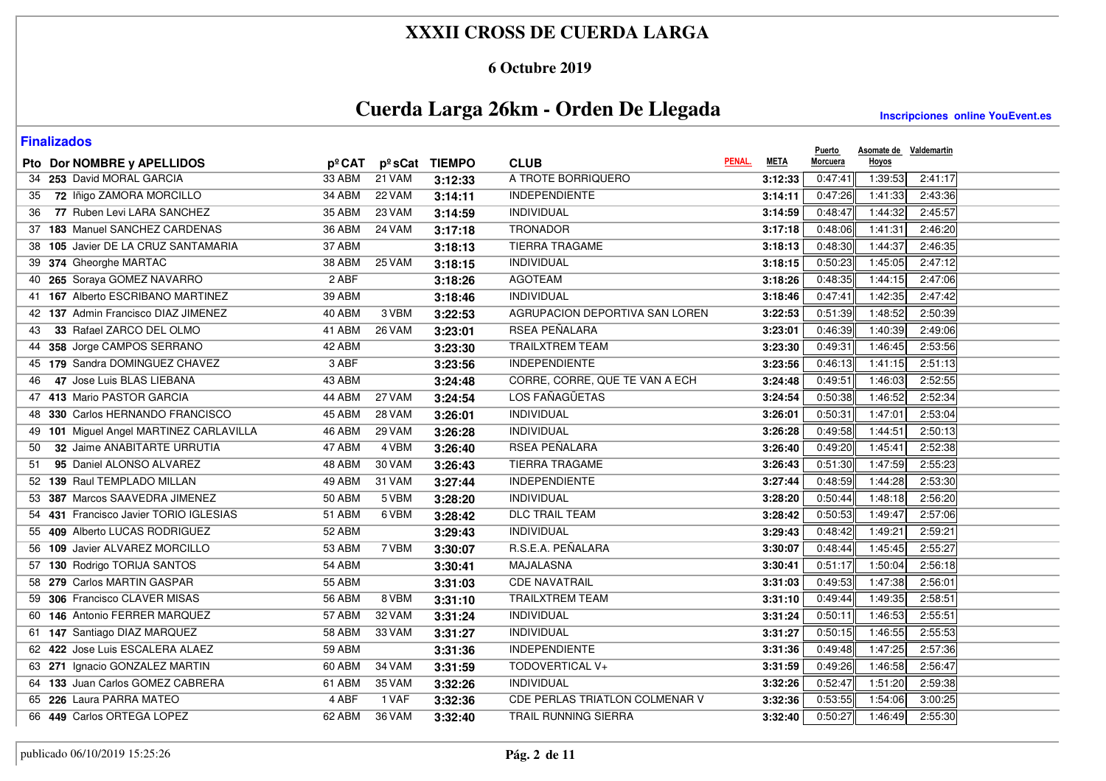### **6 Octubre 2019**

# **Cuerda Larga 26km - Orden De Llegada**

| <b>Finalizados</b>                      |         |               |               |                                |             | <b>Puerto</b> | Asomate de Valdemartin |         |
|-----------------------------------------|---------|---------------|---------------|--------------------------------|-------------|---------------|------------------------|---------|
| Pto Dor NOMBRE y APELLIDOS              | pºCAT   |               | pºsCat TIEMPO | PENAL.<br><b>CLUB</b>          | <b>META</b> | Morcuera      | Hoyos                  |         |
| 34 253 David MORAL GARCIA               | 33 ABM  | 21 VAM        | 3:12:33       | A TROTE BORRIQUERO             | 3:12:33     | 0:47:41       | 1:39:53                | 2:41:17 |
| 72 Iñigo ZAMORA MORCILLO<br>35          | 34 ABM  | 22 VAM        | 3:14:11       | <b>INDEPENDIENTE</b>           | 3:14:11     | 0:47:26       | 1:41:33                | 2:43:36 |
| 77 Ruben Levi LARA SANCHEZ<br>36        | 35 ABM  | 23 VAM        | 3:14:59       | INDIVIDUAL                     | 3:14:59     | 0:48:47       | 1:44:32                | 2:45:57 |
| 37 183 Manuel SANCHEZ CARDENAS          | 36 ABM  | 24 VAM        | 3:17:18       | <b>TRONADOR</b>                | 3:17:18     | 0:48:06       | 1:41:31                | 2:46:20 |
| 38 105 Javier DE LA CRUZ SANTAMARIA     | 37 ABM  |               | 3:18:13       | <b>TIERRA TRAGAME</b>          | 3:18:13     | 0:48:30       | 1:44:37                | 2:46:35 |
| 39 374 Gheorghe MARTAC                  | 38 ABM  | 25 VAM        | 3:18:15       | <b>INDIVIDUAL</b>              | 3:18:15     | 0:50:23       | 1:45:05                | 2:47:12 |
| 40 265 Soraya GOMEZ NAVARRO             | $2$ ABF |               | 3:18:26       | <b>AGOTEAM</b>                 | 3:18:26     | 0:48:35       | 1:44:15                | 2:47:06 |
| 41 167 Alberto ESCRIBANO MARTINEZ       | 39 ABM  |               | 3:18:46       | <b>INDIVIDUAL</b>              | 3:18:46     | 0:47:41       | 1:42:35                | 2:47:42 |
| 42 137 Admin Francisco DIAZ JIMENEZ     | 40 ABM  | 3 VBM         | 3:22:53       | AGRUPACION DEPORTIVA SAN LOREN | 3:22:53     | 0:51:39       | 1:48:52                | 2:50:39 |
| 33 Rafael ZARCO DEL OLMO<br>43          | 41 ABM  | 26 VAM        | 3:23:01       | RSEA PEÑALARA                  | 3:23:01     | 0:46:39       | 1:40:39                | 2:49:06 |
| 44 358 Jorge CAMPOS SERRANO             | 42 ABM  |               | 3:23:30       | <b>TRAILXTREM TEAM</b>         | 3:23:30     | 0:49:31       | 1:46:45                | 2:53:56 |
| 45 179 Sandra DOMINGUEZ CHAVEZ          | 3 ABF   |               | 3:23:56       | <b>INDEPENDIENTE</b>           | 3:23:56     | 0:46:13       | 1:41:15                | 2:51:13 |
| 47 Jose Luis BLAS LIEBANA<br>46         | 43 ABM  |               | 3:24:48       | CORRE, CORRE, QUE TE VAN A ECH | 3:24:48     | 0:49:51       | 1:46:03                | 2:52:55 |
| 47 413 Mario PASTOR GARCIA              | 44 ABM  | 27 VAM        | 3:24:54       | LOS FAÑAGÜETAS                 | 3:24:54     | 0:50:38       | 1:46:52                | 2:52:34 |
| 48 330 Carlos HERNANDO FRANCISCO        | 45 ABM  | <b>28 VAM</b> | 3:26:01       | INDIVIDUAL                     | 3:26:01     | 0:50:31       | 1:47:01                | 2:53:04 |
| 49 101 Miguel Angel MARTINEZ CARLAVILLA | 46 ABM  | 29 VAM        | 3:26:28       | <b>INDIVIDUAL</b>              | 3:26:28     | 0:49:58       | 1:44:51                | 2:50:13 |
| 32 Jaime ANABITARTE URRUTIA<br>50       | 47 ABM  | 4 VBM         | 3:26:40       | RSEA PEÑALARA                  | 3:26:40     | 0:49:20       | 1:45:41                | 2:52:38 |
| 95 Daniel ALONSO ALVAREZ<br>51          | 48 ABM  | 30 VAM        | 3:26:43       | <b>TIERRA TRAGAME</b>          | 3:26:43     | 0:51:30       | 1:47:59                | 2:55:23 |
| 52 139 Raul TEMPLADO MILLAN             | 49 ABM  | 31 VAM        | 3:27:44       | <b>INDEPENDIENTE</b>           | 3:27:44     | 0:48:59       | 1:44:28                | 2:53:30 |
| 53 387 Marcos SAAVEDRA JIMENEZ          | 50 ABM  | 5 VBM         | 3:28:20       | INDIVIDUAL                     | 3:28:20     | 0:50:44       | 1:48:18                | 2:56:20 |
| 54 431 Francisco Javier TORIO IGLESIAS  | 51 ABM  | 6 VBM         | 3:28:42       | <b>DLC TRAIL TEAM</b>          | 3:28:42     | 0:50:53       | 1:49:47                | 2:57:06 |
| 55 409 Alberto LUCAS RODRIGUEZ          | 52 ABM  |               | 3:29:43       | <b>INDIVIDUAL</b>              | 3:29:43     | 0:48:42       | 1:49:21                | 2:59:21 |
| 56 109 Javier ALVAREZ MORCILLO          | 53 ABM  | 7 VBM         | 3:30:07       | R.S.E.A. PEÑALARA              | 3:30:07     | 0:48:44       | 1:45:45                | 2:55:27 |
| 57 130 Rodrigo TORIJA SANTOS            | 54 ABM  |               | 3:30:41       | <b>MAJALASNA</b>               | 3:30:41     | 0:51:17       | 1:50:04                | 2:56:18 |
| 58 279 Carlos MARTIN GASPAR             | 55 ABM  |               | 3:31:03       | <b>CDE NAVATRAIL</b>           | 3:31:03     | 0:49:53       | 1:47:38                | 2:56:01 |
| 59 306 Francisco CLAVER MISAS           | 56 ABM  | 8 VBM         | 3:31:10       | <b>TRAILXTREM TEAM</b>         | 3:31:10     | 0:49:44       | 1:49:35                | 2:58:51 |
| 60 146 Antonio FERRER MARQUEZ           | 57 ABM  | 32 VAM        | 3:31:24       | <b>INDIVIDUAL</b>              | 3:31:24     | 0:50:11       | 1:46:53                | 2:55:51 |
| 61 147 Santiago DIAZ MARQUEZ            | 58 ABM  | 33 VAM        | 3:31:27       | <b>INDIVIDUAL</b>              | 3:31:27     | 0:50:15       | 1:46:55                | 2:55:53 |
| 62 422 Jose Luis ESCALERA ALAEZ         | 59 ABM  |               | 3:31:36       | <b>INDEPENDIENTE</b>           | 3:31:36     | 0:49:48       | 1:47:25                | 2:57:36 |
| 63 271 Ignacio GONZALEZ MARTIN          | 60 ABM  | 34 VAM        | 3:31:59       | TODOVERTICAL V+                | 3:31:59     | 0:49:26       | 1:46:58                | 2:56:47 |
| 64 133 Juan Carlos GOMEZ CABRERA        | 61 ABM  | 35 VAM        | 3:32:26       | INDIVIDUAL                     | 3:32:26     | 0:52:47       | 1:51:20                | 2:59:38 |
| 65 226 Laura PARRA MATEO                | 4 ABF   | 1 VAF         | 3:32:36       | CDE PERLAS TRIATLON COLMENAR V | 3:32:36     | 0:53:55       | 1:54:06                | 3:00:25 |
| 66 449 Carlos ORTEGA LOPEZ              | 62 ABM  | 36 VAM        | 3:32:40       | TRAIL RUNNING SIERRA           | 3:32:40     | 0:50:27       | 1:46:49                | 2:55:30 |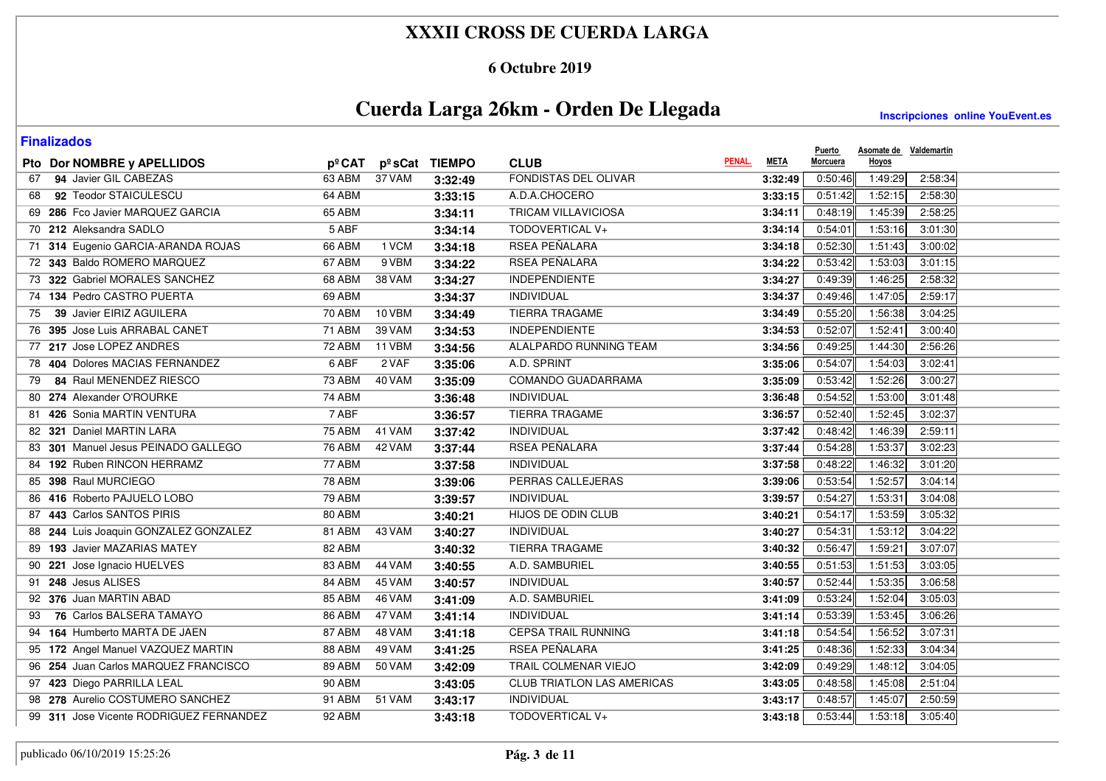### **6 Octubre 2019**

# **Cuerda Larga 26km - Orden De Llegada**

| <b>Finalizados</b>                      |               |        |               |                            |             | <b>Puerto</b> | Asomate de Valdemartin |         |
|-----------------------------------------|---------------|--------|---------------|----------------------------|-------------|---------------|------------------------|---------|
| Pto Dor NOMBRE y APELLIDOS              | pºCAT         |        | pºsCat TIEMPO | PENAL.<br><b>CLUB</b>      | <b>META</b> | Morcuera      | Hoyos                  |         |
| 94 Javier GIL CABEZAS<br>67             | 63 ABM        | 37 VAM | 3:32:49       | FONDISTAS DEL OLIVAR       | 3:32:49     | 0:50:46       | 1:49:29                | 2:58:34 |
| 92 Teodor STAICULESCU<br>68             | 64 ABM        |        | 3:33:15       | A.D.A.CHOCERO              | 3:33:15     | 0:51:42       | 1:52:15                | 2:58:30 |
| 69 286 Fco Javier MARQUEZ GARCIA        | 65 ABM        |        | 3:34:11       | <b>TRICAM VILLAVICIOSA</b> | 3:34:11     | 0:48:19       | 1:45:39                | 2:58:25 |
| 70 212 Aleksandra SADLO                 | 5 ABF         |        | 3:34:14       | TODOVERTICAL V+            | 3:34:14     | 0:54:01       | 1:53:16                | 3:01:30 |
| 71 314 Eugenio GARCIA-ARANDA ROJAS      | 66 ABM        | 1 VCM  | 3:34:18       | <b>RSEA PEÑALARA</b>       | 3:34:18     | 0:52:30       | 1:51:43                | 3:00:02 |
| 72 343 Baldo ROMERO MARQUEZ             | 67 ABM        | 9 VBM  | 3:34:22       | RSEA PEÑALARA              | 3:34:22     | 0:53:42       | 1:53:03                | 3:01:15 |
| 73 322 Gabriel MORALES SANCHEZ          | 68 ABM        | 38 VAM | 3:34:27       | <b>INDEPENDIENTE</b>       | 3:34:27     | 0:49:39       | 1:46:25                | 2:58:32 |
| 74 134 Pedro CASTRO PUERTA              | 69 ABM        |        | 3:34:37       | <b>INDIVIDUAL</b>          | 3:34:37     | 0:49:46       | 1:47:05                | 2:59:17 |
| 39 Javier EIRIZ AGUILERA<br>75          | <b>70 ABM</b> | 10 VBM | 3:34:49       | <b>TIERRA TRAGAME</b>      | 3:34:49     | 0:55:20       | 1:56:38                | 3:04:25 |
| 76 395 Jose Luis ARRABAL CANET          | 71 ABM        | 39 VAM | 3:34:53       | <b>INDEPENDIENTE</b>       | 3:34:53     | 0:52:07       | 1:52:41                | 3:00:40 |
| 77 217 Jose LOPEZ ANDRES                | 72 ABM        | 11 VBM | 3:34:56       | ALALPARDO RUNNING TEAM     | 3:34:56     | 0:49:25       | 1:44:30                | 2:56:26 |
| 78 404 Dolores MACIAS FERNANDEZ         | 6 ABF         | 2 VAF  | 3:35:06       | A.D. SPRINT                | 3:35:06     | 0:54:07       | 1:54:03                | 3:02:41 |
| 84 Raul MENENDEZ RIESCO<br>79           | 73 ABM        | 40 VAM | 3:35:09       | COMANDO GUADARRAMA         | 3:35:09     | 0:53:42       | 1:52:26                | 3:00:27 |
| 80 274 Alexander O'ROURKE               | 74 ABM        |        | 3:36:48       | INDIVIDUAL                 | 3:36:48     | 0:54:52       | 1:53:00                | 3:01:48 |
| 81 426 Sonia MARTIN VENTURA             | 7 ABF         |        | 3:36:57       | <b>TIERRA TRAGAME</b>      | 3:36:57     | 0:52:40       | 1:52:45                | 3:02:37 |
| 82 321 Daniel MARTIN LARA               | <b>75 ABM</b> | 41 VAM | 3:37:42       | INDIVIDUAL                 | 3:37:42     | 0:48:42       | 1:46:39                | 2:59:11 |
| 83 301 Manuel Jesus PEINADO GALLEGO     | <b>76 ABM</b> | 42 VAM | 3:37:44       | RSEA PEÑALARA              | 3:37:44     | 0:54:28       | 1:53:37                | 3:02:23 |
| 84 192 Ruben RINCON HERRAMZ             | 77 ABM        |        | 3:37:58       | INDIVIDUAL                 | 3:37:58     | 0:48:22       | 1:46:32                | 3:01:20 |
| 85 398 Raul MURCIEGO                    | <b>78 ABM</b> |        | 3:39:06       | PERRAS CALLEJERAS          | 3:39:06     | 0:53:54       | 1:52:57                | 3:04:14 |
| 86 416 Roberto PAJUELO LOBO             | 79 ABM        |        | 3:39:57       | INDIVIDUAL                 | 3:39:57     | 0:54:27       | 1:53:31                | 3:04:08 |
| 87 443 Carlos SANTOS PIRIS              | 80 ABM        |        | 3:40:21       | HIJOS DE ODIN CLUB         | 3:40:21     | 0:54:17       | 1:53:59                | 3:05:32 |
| 88 244 Luis Joaquin GONZALEZ GONZALEZ   | 81 ABM        | 43 VAM | 3:40:27       | INDIVIDUAL                 | 3:40:27     | 0:54:31       | 1:53:12                | 3:04:22 |
| 89 193 Javier MAZARIAS MATEY            | 82 ABM        |        | 3:40:32       | <b>TIERRA TRAGAME</b>      | 3:40:32     | 0:56:47       | 1:59:21                | 3:07:07 |
| 90 221 Jose Ignacio HUELVES             | 83 ABM        | 44 VAM | 3:40:55       | A.D. SAMBURIEL             | 3:40:55     | 0:51:53       | 1:51:53                | 3:03:05 |
| 91 248 Jesus ALISES                     | 84 ABM        | 45 VAM | 3:40:57       | INDIVIDUAL                 | 3:40:57     | 0:52:44       | 1:53:35                | 3:06:58 |
| 92 376 Juan MARTIN ABAD                 | 85 ABM        | 46 VAM | 3:41:09       | A.D. SAMBURIEL             | 3:41:09     | 0:53:24       | 1:52:04                | 3:05:03 |
| 76 Carlos BALSERA TAMAYO<br>93          | 86 ABM        | 47 VAM | 3:41:14       | <b>INDIVIDUAL</b>          | 3:41:14     | 0:53:39       | 1:53:45                | 3:06:26 |
| 94 164 Humberto MARTA DE JAEN           | 87 ABM        | 48 VAM | 3:41:18       | <b>CEPSA TRAIL RUNNING</b> | 3:41:18     | 0:54:54       | 1:56:52                | 3:07:31 |
| 95 172 Angel Manuel VAZQUEZ MARTIN      | 88 ABM        | 49 VAM | 3:41:25       | RSEA PEÑALARA              | 3:41:25     | 0:48:36       | 1:52:33                | 3:04:34 |
| 96 254 Juan Carlos MARQUEZ FRANCISCO    | 89 ABM        | 50 VAM | 3:42:09       | TRAIL COLMENAR VIEJO       | 3:42:09     | 0:49:29       | 1:48:12                | 3:04:05 |
| 97 423 Diego PARRILLA LEAL              | 90 ABM        |        | 3:43:05       | CLUB TRIATLON LAS AMERICAS | 3:43:05     | 0:48:58       | 1:45:08                | 2:51:04 |
| 98 278 Aurelio COSTUMERO SANCHEZ        | 91 ABM        | 51 VAM | 3:43:17       | INDIVIDUAL                 | 3:43:17     | 0:48:57       | 1:45:07                | 2:50:59 |
| 99 311 Jose Vicente RODRIGUEZ FERNANDEZ | 92 ABM        |        | 3:43:18       | TODOVERTICAL V+            | 3:43:18     | 0:53:44       | 1:53:18                | 3:05:40 |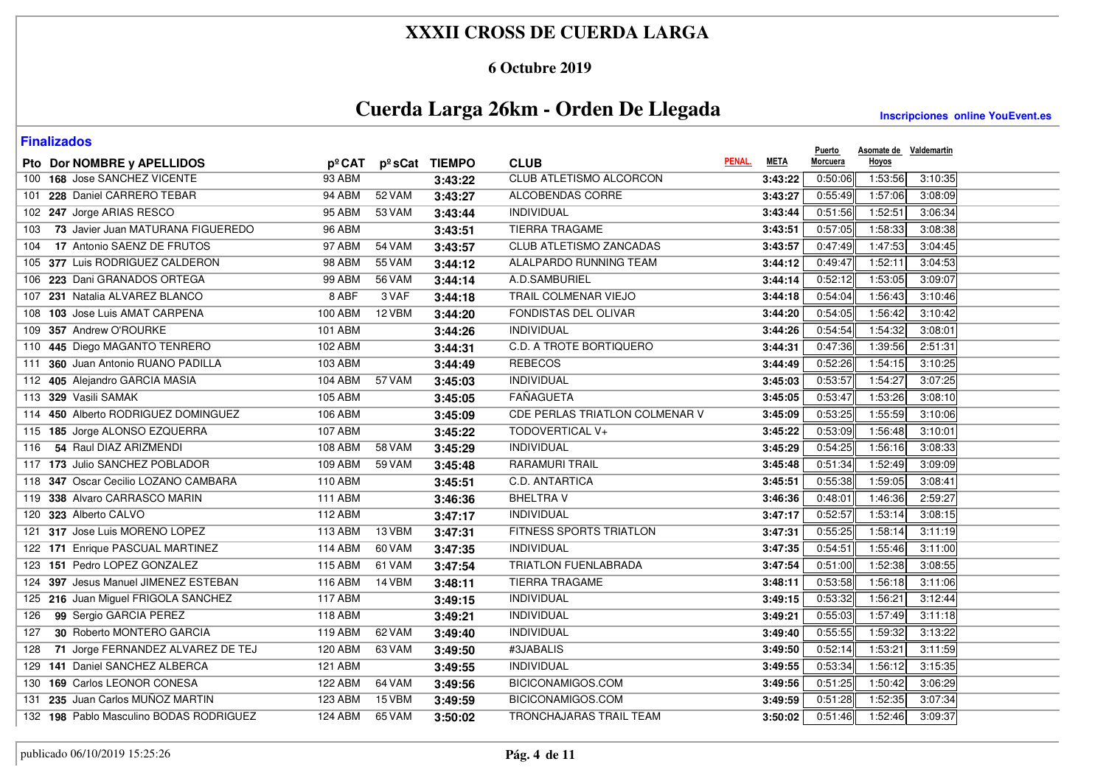### **6 Octubre 2019**

# **Cuerda Larga 26km - Orden De Llegada**

| <b>Finalizados</b>                       |                |        |               |                                |             | <b>Puerto</b> | Asomate de Valdemartin |         |
|------------------------------------------|----------------|--------|---------------|--------------------------------|-------------|---------------|------------------------|---------|
| Pto Dor NOMBRE y APELLIDOS               | pºCAT          |        | pºsCat TIEMPO | PENAL.<br><b>CLUB</b>          | <b>META</b> | Morcuera      | Hoyos                  |         |
| 168 Jose SANCHEZ VICENTE<br>100          | <b>93 ABM</b>  |        | 3:43:22       | <b>CLUB ATLETISMO ALCORCON</b> | 3:43:22     | 0:50:06       | 1:53:56                | 3:10:35 |
| 228 Daniel CARRERO TEBAR<br>101          | 94 ABM         | 52 VAM | 3:43:27       | ALCOBENDAS CORRE               | 3:43:27     | 0:55:49       | 1:57:06                | 3:08:09 |
| 102 247 Jorge ARIAS RESCO                | 95 ABM         | 53 VAM | 3:43:44       | INDIVIDUAL                     | 3:43:44     | 0:51:56       | 1:52:51                | 3:06:34 |
| 73 Javier Juan MATURANA FIGUEREDO<br>103 | <b>96 ABM</b>  |        | 3:43:51       | <b>TIERRA TRAGAME</b>          | 3:43:51     | 0:57:05       | 1:58:33                | 3:08:38 |
| 17 Antonio SAENZ DE FRUTOS<br>104        | 97 ABM         | 54 VAM | 3:43:57       | CLUB ATLETISMO ZANCADAS        | 3:43:57     | 0:47:49       | 1:47:53                | 3:04:45 |
| 105 377 Luis RODRIGUEZ CALDERON          | 98 ABM         | 55 VAM | 3:44:12       | ALALPARDO RUNNING TEAM         | 3:44:12     | 0:49:47       | 1:52:11                | 3:04:53 |
| 106 223 Dani GRANADOS ORTEGA             | <b>99 ABM</b>  | 56 VAM | 3:44:14       | A.D.SAMBURIEL                  | 3:44:14     | 0:52:12       | 1:53:05                | 3:09:07 |
| 107 231 Natalia ALVAREZ BLANCO           | 8 ABF          | 3 VAF  | 3:44:18       | TRAIL COLMENAR VIEJO           | 3:44:18     | 0:54:04       | 1:56:43                | 3:10:46 |
| 103 Jose Luis AMAT CARPENA<br>108        | 100 ABM        | 12 VBM | 3:44:20       | FONDISTAS DEL OLIVAR           | 3:44:20     | 0:54:05       | 1:56:42                | 3:10:42 |
| 357 Andrew O'ROURKE<br>109               | 101 ABM        |        | 3:44:26       | <b>INDIVIDUAL</b>              | 3:44:26     | 0:54:54       | 1:54:32                | 3:08:01 |
| 445 Diego MAGANTO TENRERO<br>110         | 102 ABM        |        | 3:44:31       | <b>C.D. A TROTE BORTIQUERO</b> | 3:44:31     | 0:47:36       | 1:39:56                | 2:51:31 |
| 360 Juan Antonio RUANO PADILLA<br>111    | 103 ABM        |        | 3:44:49       | <b>REBECOS</b>                 | 3:44:49     | 0:52:26       | 1:54:15                | 3:10:25 |
| 112 405 Alejandro GARCIA MASIA           | 104 ABM        | 57 VAM | 3:45:03       | INDIVIDUAL                     | 3:45:03     | 0:53:57       | 1:54:27                | 3:07:25 |
| 113 329 Vasili SAMAK                     | 105 ABM        |        | 3:45:05       | <b>FAÑAGUETA</b>               | 3:45:05     | 0:53:47       | 1:53:26                | 3:08:10 |
| 114 450 Alberto RODRIGUEZ DOMINGUEZ      | 106 ABM        |        | 3:45:09       | CDE PERLAS TRIATLON COLMENAR V | 3:45:09     | 0:53:25       | 1:55:59                | 3:10:06 |
| 115 185 Jorge ALONSO EZQUERRA            | 107 ABM        |        | 3:45:22       | <b>TODOVERTICAL V+</b>         | 3:45:22     | 0:53:09       | 1:56:48                | 3:10:01 |
| 54 Raul DIAZ ARIZMENDI<br>116            | 108 ABM        | 58 VAM | 3:45:29       | <b>INDIVIDUAL</b>              | 3:45:29     | 0:54:25       | 1:56:16                | 3:08:33 |
| 117 173 Julio SANCHEZ POBLADOR           | 109 ABM        | 59 VAM | 3:45:48       | <b>RARAMURI TRAIL</b>          | 3:45:48     | 0:51:34       | 1:52:49                | 3:09:09 |
| 347 Oscar Cecilio LOZANO CAMBARA<br>118  | 110 ABM        |        | 3:45:51       | C.D. ANTARTICA                 | 3:45:51     | 0:55:38       | 1:59:05                | 3:08:41 |
| 119 338 Alvaro CARRASCO MARIN            | <b>111 ABM</b> |        | 3:46:36       | <b>BHELTRAV</b>                | 3:46:36     | 0:48:01       | 1:46:36                | 2:59:27 |
| 120 323 Alberto CALVO                    | 112 ABM        |        | 3:47:17       | <b>INDIVIDUAL</b>              | 3:47:17     | 0:52:57       | 1:53:14                | 3:08:15 |
| 121 317 Jose Luis MORENO LOPEZ           | 113 ABM        | 13 VBM | 3:47:31       | FITNESS SPORTS TRIATLON        | 3:47:31     | 0:55:25       | 1:58:14                | 3:11:19 |
| 122 171 Enrique PASCUAL MARTINEZ         | <b>114 ABM</b> | 60 VAM | 3:47:35       | <b>INDIVIDUAL</b>              | 3:47:35     | 0:54:51       | 1:55:46                | 3:11:00 |
| 123 151 Pedro LOPEZ GONZALEZ             | <b>115 ABM</b> | 61 VAM | 3:47:54       | <b>TRIATLON FUENLABRADA</b>    | 3:47:54     | 0:51:00       | 1:52:38                | 3:08:55 |
| 124 397 Jesus Manuel JIMENEZ ESTEBAN     | 116 ABM        | 14 VBM | 3:48:11       | TIERRA TRAGAME                 | 3:48:11     | 0:53:58       | 1:56:18                | 3:11:06 |
| 125 216 Juan Miguel FRIGOLA SANCHEZ      | <b>117 ABM</b> |        | 3:49:15       | <b>INDIVIDUAL</b>              | 3:49:15     | 0:53:32       | 1:56:21                | 3:12:44 |
| 99 Sergio GARCIA PEREZ<br>126            | <b>118 ABM</b> |        | 3:49:21       | <b>INDIVIDUAL</b>              | 3:49:21     | 0:55:03       | 1:57:49                | 3:11:18 |
| 30 Roberto MONTERO GARCIA<br>127         | 119 ABM        | 62 VAM | 3:49:40       | INDIVIDUAL                     | 3:49:40     | 0:55:55       | 1:59:32                | 3:13:22 |
| 71 Jorge FERNANDEZ ALVAREZ DE TEJ<br>128 | 120 ABM        | 63 VAM | 3:49:50       | #3JABALIS                      | 3:49:50     | 0:52:14       | 1:53:21                | 3:11:59 |
| 141 Daniel SANCHEZ ALBERCA<br>129        | 121 ABM        |        | 3:49:55       | <b>INDIVIDUAL</b>              | 3:49:55     | 0:53:34       | 1:56:12                | 3:15:35 |
| 130 169 Carlos LEONOR CONESA             | 122 ABM        | 64 VAM | 3:49:56       | BICICONAMIGOS.COM              | 3:49:56     | 0:51:25       | 1:50:42                | 3:06:29 |
| 235 Juan Carlos MUÑOZ MARTIN<br>131      | 123 ABM        | 15 VBM | 3:49:59       | BICICONAMIGOS.COM              | 3:49:59     | 0:51:28       | 1:52:35                | 3:07:34 |
| 132 198 Pablo Masculino BODAS RODRIGUEZ  | 124 ABM        | 65 VAM | 3:50:02       | TRONCHAJARAS TRAIL TEAM        | 3:50:02     | 0:51:46       | 1:52:46                | 3:09:37 |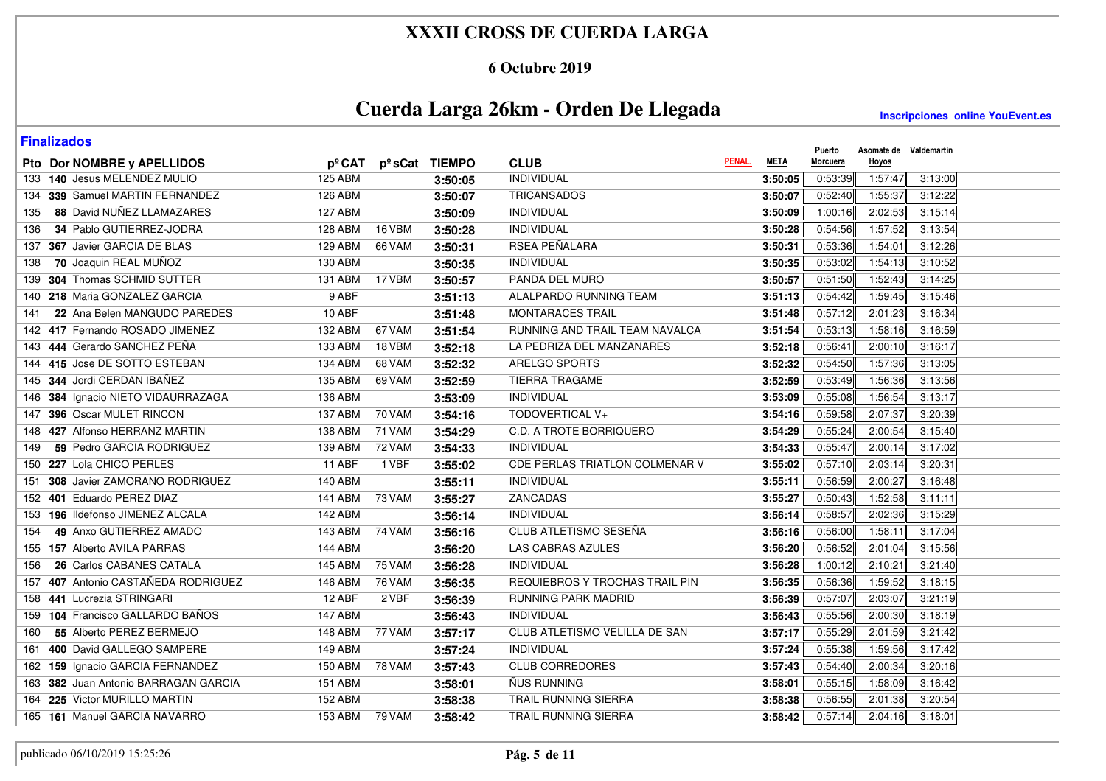### **6 Octubre 2019**

# **Cuerda Larga 26km - Orden De Llegada**

| <b>Finalizados</b>                     |                |                     |         |                                |        |             | <b>Puerto</b> | Asomate de Valdemartin |         |
|----------------------------------------|----------------|---------------------|---------|--------------------------------|--------|-------------|---------------|------------------------|---------|
| Pto Dor NOMBRE y APELLIDOS             |                | pºCAT pºsCat TIEMPO |         | <b>CLUB</b>                    | PENAL. | <b>META</b> | Morcuera      | Hoyos                  |         |
| 133 140 Jesus MELENDEZ MULIO           | <b>125 ABM</b> |                     | 3:50:05 | <b>INDIVIDUAL</b>              |        | 3:50:05     | 0:53:39       | 1:57:47                | 3:13:00 |
| 339 Samuel MARTIN FERNANDEZ<br>134     | 126 ABM        |                     | 3:50:07 | <b>TRICANSADOS</b>             |        | 3:50:07     | 0:52:40       | 1:55:37                | 3:12:22 |
| 88 David NUÑEZ LLAMAZARES<br>135       | 127 ABM        |                     | 3:50:09 | INDIVIDUAL                     |        | 3:50:09     | 1:00:16       | 2:02:53                | 3:15:14 |
| 34 Pablo GUTIERREZ-JODRA<br>136        | 128 ABM        | 16 VBM              | 3:50:28 | <b>INDIVIDUAL</b>              |        | 3:50:28     | 0:54:56       | 1:57:52                | 3:13:54 |
| 367 Javier GARCIA DE BLAS<br>137       | 129 ABM        | 66 VAM              | 3:50:31 | <b>RSEA PEÑALARA</b>           |        | 3:50:31     | 0:53:36       | 1:54:01                | 3:12:26 |
| 70 Joaquin REAL MUÑOZ<br>138           | 130 ABM        |                     | 3:50:35 | <b>INDIVIDUAL</b>              |        | 3:50:35     | 0:53:02       | 1:54:13                | 3:10:52 |
| 304 Thomas SCHMID SUTTER<br>139        | <b>131 ABM</b> | 17 VBM              | 3:50:57 | PANDA DEL MURO                 |        | 3:50:57     | 0:51:50       | 1:52:43                | 3:14:25 |
| 140 218 Maria GONZALEZ GARCIA          | 9 ABF          |                     | 3:51:13 | ALALPARDO RUNNING TEAM         |        | 3:51:13     | 0:54:42       | 1:59:45                | 3:15:46 |
| 22 Ana Belen MANGUDO PAREDES<br>141    | 10 ABF         |                     | 3:51:48 | <b>MONTARACES TRAIL</b>        |        | 3:51:48     | 0:57:12       | 2:01:23                | 3:16:34 |
| 417 Fernando ROSADO JIMENEZ<br>142     | 132 ABM        | 67 VAM              | 3:51:54 | RUNNING AND TRAIL TEAM NAVALCA |        | 3:51:54     | 0:53:13       | 1:58:16                | 3:16:59 |
| 444 Gerardo SANCHEZ PEÑA<br>143        | <b>133 ABM</b> | 18 VBM              | 3:52:18 | LA PEDRIZA DEL MANZANARES      |        | 3:52:18     | 0:56:41       | 2:00:10                | 3:16:17 |
| 144 415 Jose DE SOTTO ESTEBAN          | 134 ABM        | 68 VAM              | 3:52:32 | ARELGO SPORTS                  |        | 3:52:32     | 0:54:50       | 1:57:36                | 3:13:05 |
| 344 Jordi CERDAN IBAÑEZ<br>145         | 135 ABM        | 69 VAM              | 3:52:59 | <b>TIERRA TRAGAME</b>          |        | 3:52:59     | 0:53:49       | 1:56:36                | 3:13:56 |
| 384 Ignacio NIETO VIDAURRAZAGA<br>146  | 136 ABM        |                     | 3:53:09 | <b>INDIVIDUAL</b>              |        | 3:53:09     | 0:55:08       | 1:56:54                | 3:13:17 |
| 396 Oscar MULET RINCON<br>147          | 137 ABM        | 70 VAM              | 3:54:16 | TODOVERTICAL V+                |        | 3:54:16     | 0:59:58       | 2:07:37                | 3:20:39 |
| 148 427 Alfonso HERRANZ MARTIN         | 138 ABM        | 71 VAM              | 3:54:29 | <b>C.D. A TROTE BORRIQUERO</b> |        | 3:54:29     | 0:55:24       | 2:00:54                | 3:15:40 |
| 59 Pedro GARCIA RODRIGUEZ<br>149       | 139 ABM        | <b>72 VAM</b>       | 3:54:33 | <b>INDIVIDUAL</b>              |        | 3:54:33     | 0:55:47       | 2:00:14                | 3:17:02 |
| 227 Lola CHICO PERLES<br>150           | 11 ABF         | 1 VBF               | 3:55:02 | CDE PERLAS TRIATLON COLMENAR V |        | 3:55:02     | 0:57:10       | 2:03:14                | 3:20:31 |
| 308 Javier ZAMORANO RODRIGUEZ<br>151   | 140 ABM        |                     | 3:55:11 | INDIVIDUAL                     |        | 3:55:11     | 0:56:59       | 2:00:27                | 3:16:48 |
| 401 Eduardo PEREZ DIAZ<br>152          | 141 ABM        | 73 VAM              | 3:55:27 | ZANCADAS                       |        | 3:55:27     | 0:50:43       | 1:52:58                | 3:11:11 |
| 153 196 Ildefonso JIMENEZ ALCALA       | 142 ABM        |                     | 3:56:14 | <b>INDIVIDUAL</b>              |        | 3:56:14     | 0:58:57       | 2:02:36                | 3:15:29 |
| 49 Anxo GUTIERREZ AMADO<br>154         | 143 ABM        | <b>74 VAM</b>       | 3:56:16 | CLUB ATLETISMO SESEÑA          |        | 3:56:16     | 0:56:00       | 1:58:11                | 3:17:04 |
| 155 157 Alberto AVILA PARRAS           | <b>144 ABM</b> |                     | 3:56:20 | <b>LAS CABRAS AZULES</b>       |        | 3:56:20     | 0:56:52       | 2:01:04                | 3:15:56 |
| 26 Carlos CABANES CATALA<br>156        | <b>145 ABM</b> | 75 VAM              | 3:56:28 | <b>INDIVIDUAL</b>              |        | 3:56:28     | 1:00:12       | 2:10:21                | 3:21:40 |
| 407 Antonio CASTAÑEDA RODRIGUEZ<br>157 | 146 ABM        | <b>76 VAM</b>       | 3:56:35 | REQUIEBROS Y TROCHAS TRAIL PIN |        | 3:56:35     | 0:56:36       | 1:59:52                | 3:18:15 |
| 441 Lucrezia STRINGARI<br>158          | 12 ABF         | 2 VBF               | 3:56:39 | <b>RUNNING PARK MADRID</b>     |        | 3:56:39     | 0:57:07       | 2:03:07                | 3:21:19 |
| 104 Francisco GALLARDO BAÑOS<br>159    | <b>147 ABM</b> |                     | 3:56:43 | <b>INDIVIDUAL</b>              |        | 3:56:43     | 0:55:56       | 2:00:30                | 3:18:19 |
| 55 Alberto PEREZ BERMEJO<br>160        | 148 ABM        | 77 VAM              | 3:57:17 | CLUB ATLETISMO VELILLA DE SAN  |        | 3:57:17     | 0:55:29       | 2:01:59                | 3:21:42 |
| 400 David GALLEGO SAMPERE<br>161       | 149 ABM        |                     | 3:57:24 | <b>INDIVIDUAL</b>              |        | 3:57:24     | 0:55:38       | 1:59:56                | 3:17:42 |
| 162 159 Ignacio GARCIA FERNANDEZ       | 150 ABM        | <b>78 VAM</b>       | 3:57:43 | <b>CLUB CORREDORES</b>         |        | 3:57:43     | 0:54:40       | 2:00:34                | 3:20:16 |
| 163 382 Juan Antonio BARRAGAN GARCIA   | <b>151 ABM</b> |                     | 3:58:01 | ÑUS RUNNING                    |        | 3:58:01     | 0:55:15       | 1:58:09                | 3:16:42 |
| 164 225 Victor MURILLO MARTIN          | <b>152 ABM</b> |                     | 3:58:38 | TRAIL RUNNING SIERRA           |        | 3:58:38     | 0:56:55       | 2:01:38                | 3:20:54 |
| 165 161 Manuel GARCIA NAVARRO          | 153 ABM        | 79 VAM              | 3:58:42 | TRAIL RUNNING SIERRA           |        | 3:58:42     | 0:57:14       | 2:04:16                | 3:18:01 |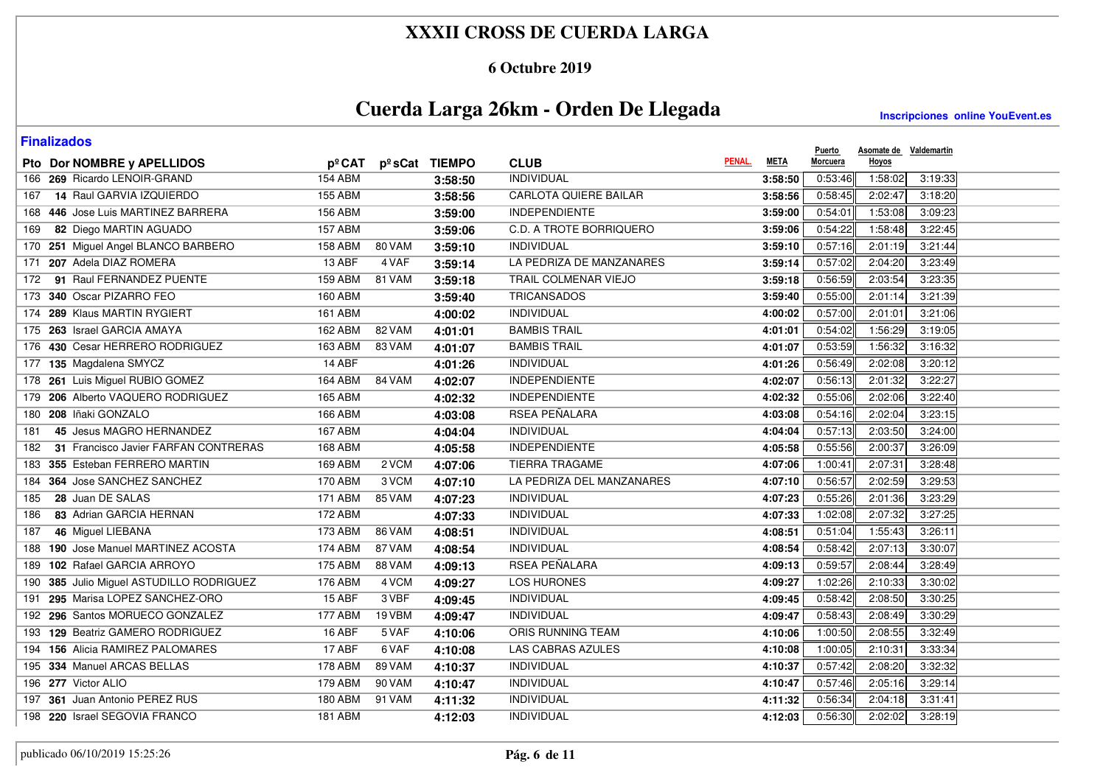### **6 Octubre 2019**

# **Cuerda Larga 26km - Orden De Llegada**

| <b>Finalizados</b>                          |                |        |               |                              |        |             | <b>Puerto</b> | Asomate de Valdemartin |         |
|---------------------------------------------|----------------|--------|---------------|------------------------------|--------|-------------|---------------|------------------------|---------|
| Pto Dor NOMBRE y APELLIDOS                  | pºCAT          |        | pºsCat TIEMPO | <b>CLUB</b>                  | PENAL. | <b>META</b> | Morcuera      | Hoyos                  |         |
| 166 269 Ricardo LENOIR-GRAND                | <b>154 ABM</b> |        | 3:58:50       | <b>INDIVIDUAL</b>            |        | 3:58:50     | 0:53:46       | 1:58:02                | 3:19:33 |
| 14 Raul GARVIA IZQUIERDO<br>167             | 155 ABM        |        | 3:58:56       | <b>CARLOTA QUIERE BAILAR</b> |        | 3:58:56     | 0:58:45       | 2:02:47                | 3:18:20 |
| 168 446 Jose Luis MARTINEZ BARRERA          | 156 ABM        |        | 3:59:00       | <b>INDEPENDIENTE</b>         |        | 3:59:00     | 0:54:01       | 1:53:08                | 3:09:23 |
| 82 Diego MARTIN AGUADO<br>169               | <b>157 ABM</b> |        | 3:59:06       | C.D. A TROTE BORRIQUERO      |        | 3:59:06     | 0:54:22       | 1:58.48                | 3:22:45 |
| 170 251 Miguel Angel BLANCO BARBERO         | <b>158 ABM</b> | 80 VAM | 3:59:10       | INDIVIDUAL                   |        | 3:59:10     | 0:57:16       | 2:01:19                | 3:21:44 |
| 171 207 Adela DIAZ ROMERA                   | 13 ABF         | 4 VAF  | 3:59:14       | LA PEDRIZA DE MANZANARES     |        | 3:59:14     | 0:57:02       | 2:04:20                | 3:23:49 |
| 91 Raul FERNANDEZ PUENTE<br>172             | <b>159 ABM</b> | 81 VAM | 3:59:18       | <b>TRAIL COLMENAR VIEJO</b>  |        | 3:59:18     | 0:56:59       | 2:03:54                | 3:23:35 |
| 173 340 Oscar PIZARRO FEO                   | <b>160 ABM</b> |        | 3:59:40       | <b>TRICANSADOS</b>           |        | 3:59:40     | 0:55:00       | 2:01:14                | 3:21:39 |
| 174 289 Klaus MARTIN RYGIERT                | 161 ABM        |        | 4:00:02       | INDIVIDUAL                   |        | 4:00:02     | 0:57:00       | 2:01:01                | 3:21:06 |
| 175 263 Israel GARCIA AMAYA                 | 162 ABM        | 82 VAM | 4:01:01       | <b>BAMBIS TRAIL</b>          |        | 4:01:01     | 0:54:02       | 1:56:29                | 3:19:05 |
| 176 430 Cesar HERRERO RODRIGUEZ             | <b>163 ABM</b> | 83 VAM | 4:01:07       | <b>BAMBIS TRAIL</b>          |        | 4:01:07     | 0:53:59       | 1:56:32                | 3:16:32 |
| 177 135 Magdalena SMYCZ                     | 14 ABF         |        | 4:01:26       | INDIVIDUAL                   |        | 4:01:26     | 0:56:49       | 2:02:08                | 3:20:12 |
| 178 261 Luis Miguel RUBIO GOMEZ             | 164 ABM        | 84 VAM | 4:02:07       | <b>INDEPENDIENTE</b>         |        | 4:02:07     | 0:56:13       | 2:01:32                | 3:22:27 |
| 179 206 Alberto VAQUERO RODRIGUEZ           | 165 ABM        |        | 4:02:32       | <b>INDEPENDIENTE</b>         |        | 4:02:32     | 0:55:06       | 2:02:06                | 3:22:40 |
| 180 208 Iñaki GONZALO                       | <b>166 ABM</b> |        | 4:03:08       | RSEA PEÑALARA                |        | 4:03:08     | 0:54:16       | 2:02:04                | 3:23:15 |
| 45 Jesus MAGRO HERNANDEZ<br>181             | <b>167 ABM</b> |        | 4:04:04       | <b>INDIVIDUAL</b>            |        | 4:04:04     | 0:57:13       | 2:03:50                | 3:24:00 |
| 31 Francisco Javier FARFAN CONTRERAS<br>182 | 168 ABM        |        | 4:05:58       | <b>INDEPENDIENTE</b>         |        | 4:05:58     | 0:55:56       | 2:00:37                | 3:26:09 |
| 355 Esteban FERRERO MARTIN<br>183           | 169 ABM        | 2 VCM  | 4:07:06       | <b>TIERRA TRAGAME</b>        |        | 4:07:06     | 1:00:41       | 2:07:31                | 3:28:48 |
| 364 Jose SANCHEZ SANCHEZ<br>184             | 170 ABM        | 3 VCM  | 4:07:10       | LA PEDRIZA DEL MANZANARES    |        | 4:07:10     | 0:56:57       | 2:02:59                | 3:29:53 |
| 28 Juan DE SALAS<br>185                     | <b>171 ABM</b> | 85 VAM | 4:07:23       | INDIVIDUAL                   |        | 4:07:23     | 0:55:26       | 2:01:36                | 3:23:29 |
| 83 Adrian GARCIA HERNAN<br>186              | <b>172 ABM</b> |        | 4:07:33       | INDIVIDUAL                   |        | 4:07:33     | 1:02:08       | 2:07:32                | 3:27:25 |
| 46 Miguel LIEBANA<br>187                    | 173 ABM        | 86 VAM | 4:08:51       | INDIVIDUAL                   |        | 4:08:51     | 0:51:04       | 1:55:43                | 3:26:11 |
| 188 190 Jose Manuel MARTINEZ ACOSTA         | <b>174 ABM</b> | 87 VAM | 4:08:54       | <b>INDIVIDUAL</b>            |        | 4:08:54     | 0:58:42       | 2:07:13                | 3:30:07 |
| 189 102 Rafael GARCIA ARROYO                | <b>175 ABM</b> | 88 VAM | 4:09:13       | RSEA PEÑALARA                |        | 4:09:13     | 0:59:57       | 2:08:44                | 3:28:49 |
| 190 385 Julio Miguel ASTUDILLO RODRIGUEZ    | 176 ABM        | 4 VCM  | 4:09:27       | LOS HURONES                  |        | 4:09:27     | 1:02:26       | 2:10:33                | 3:30:02 |
| 295 Marisa LOPEZ SANCHEZ-ORO<br>191         | 15 ABF         | 3 VBF  | 4:09:45       | <b>INDIVIDUAL</b>            |        | 4:09:45     | 0:58:42       | 2:08:50                | 3:30:25 |
| 192 296 Santos MORUECO GONZALEZ             | <b>177 ABM</b> | 19 VBM | 4:09:47       | <b>INDIVIDUAL</b>            |        | 4:09:47     | 0:58:43       | 2:08:49                | 3:30:29 |
| 193 129 Beatriz GAMERO RODRIGUEZ            | 16 ABF         | 5 VAF  | 4:10:06       | ORIS RUNNING TEAM            |        | 4:10:06     | 1:00:50       | 2:08:55                | 3:32:49 |
| 194 156 Alicia RAMIREZ PALOMARES            | 17 ABF         | 6 VAF  | 4:10:08       | <b>LAS CABRAS AZULES</b>     |        | 4:10:08     | 1:00:05       | 2:10:31                | 3:33:34 |
| 195 334 Manuel ARCAS BELLAS                 | 178 ABM        | 89 VAM | 4:10:37       | INDIVIDUAL                   |        | 4:10:37     | 0:57:42       | 2:08:20                | 3:32:32 |
| 196 277 Victor ALIO                         | 179 ABM        | 90 VAM | 4:10:47       | INDIVIDUAL                   |        | 4:10:47     | 0:57:46       | 2:05:16                | 3:29:14 |
| 197 361 Juan Antonio PEREZ RUS              | <b>180 ABM</b> | 91 VAM | 4:11:32       | <b>INDIVIDUAL</b>            |        | 4:11:32     | 0:56:34       | 2:04:18                | 3:31:41 |
| 198 220 Israel SEGOVIA FRANCO               | <b>181 ABM</b> |        | 4:12:03       | INDIVIDUAL                   |        | 4:12:03     | 0:56:30       | 2:02:02                | 3:28:19 |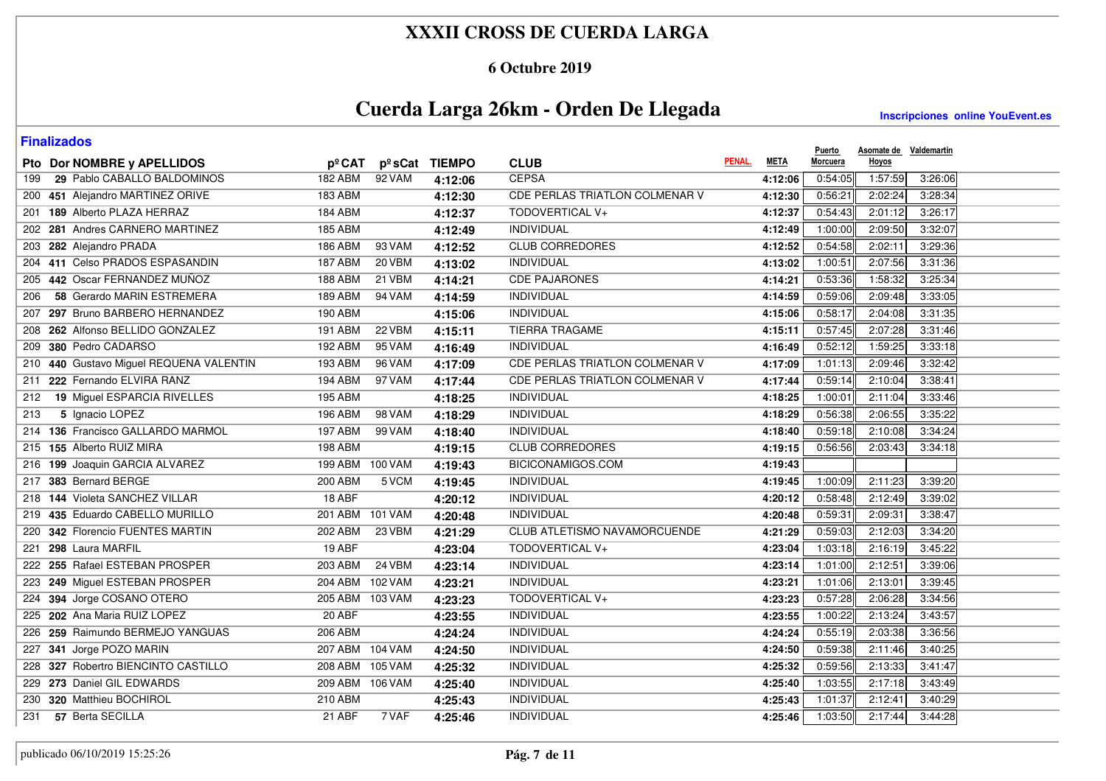### **6 Octubre 2019**

# **Cuerda Larga 26km - Orden De Llegada**

| <b>Finalizados</b>                      |                 |               |               |                                     |        |             | <b>Puerto</b>   | Asomate de Valdemartin |         |
|-----------------------------------------|-----------------|---------------|---------------|-------------------------------------|--------|-------------|-----------------|------------------------|---------|
| Pto Dor NOMBRE y APELLIDOS              | pºCAT           |               | pºsCat TIEMPO | <b>CLUB</b>                         | PENAL. | <b>META</b> | Morcuera        | Hoyos                  |         |
| 29 Pablo CABALLO BALDOMINOS<br>199      | <b>182 ABM</b>  | 92 VAM        | 4:12:06       | <b>CEPSA</b>                        |        | 4:12:06     | 0:54:05         | 1:57:59                | 3:26:06 |
| 200 451 Alejandro MARTINEZ ORIVE        | <b>183 ABM</b>  |               | 4:12:30       | CDE PERLAS TRIATLON COLMENAR V      |        | 4:12:30     | 0:56:21         | 2:02:24                | 3:28:34 |
| 201 189 Alberto PLAZA HERRAZ            | 184 ABM         |               | 4:12:37       | TODOVERTICAL V+                     |        | 4:12:37     | 0:54:43         | 2:01:12                | 3:26:17 |
| 202 281 Andres CARNERO MARTINEZ         | 185 ABM         |               | 4:12:49       | <b>INDIVIDUAL</b>                   |        | 4:12:49     | 1:00:00         | 2:09:50                | 3:32:07 |
| 203 282 Alejandro PRADA                 | 186 ABM         | 93 VAM        | 4:12:52       | <b>CLUB CORREDORES</b>              |        | 4:12:52     | 0:54:58         | 2:02:11                | 3:29:36 |
| 204 411 Celso PRADOS ESPASANDIN         | 187 ABM         | $20\sqrt{BM}$ | 4:13:02       | INDIVIDUAL                          |        | 4:13:02     | 1:00:51         | 2:07:56                | 3:31:36 |
| 205 442 Oscar FERNANDEZ MUÑOZ           | 188 ABM         | 21 VBM        | 4:14:21       | <b>CDE PAJARONES</b>                |        | 4:14:21     | 0:53:36         | 1:58:32                | 3:25:34 |
| 58 Gerardo MARIN ESTREMERA<br>206       | 189 ABM         | 94 VAM        | 4:14:59       | <b>INDIVIDUAL</b>                   |        | 4:14:59     | 0:59:06         | 2:09:48                | 3:33:05 |
| 207 297 Bruno BARBERO HERNANDEZ         | <b>190 ABM</b>  |               | 4:15:06       | <b>INDIVIDUAL</b>                   |        | 4:15:06     | 0:58:17         | 2:04:08                | 3:31:35 |
| 208 262 Alfonso BELLIDO GONZALEZ        | 191 ABM         | 22 VBM        | 4:15:11       | <b>TIERRA TRAGAME</b>               |        | 4:15:11     | 0:57:45         | 2:07:28                | 3:31:46 |
| 209 380 Pedro CADARSO                   | <b>192 ABM</b>  | 95 VAM        | 4:16:49       | <b>INDIVIDUAL</b>                   |        | 4:16:49     | 0:52:12         | 1:59:25                | 3:33:18 |
| 210 440 Gustavo Miguel REQUENA VALENTIN | 193 ABM         | 96 VAM        | 4:17:09       | CDE PERLAS TRIATLON COLMENAR V      |        | 4:17:09     | 1:01:13         | 2:09:46                | 3:32:42 |
| 222 Fernando ELVIRA RANZ<br>211         | 194 ABM         | 97 VAM        | 4:17:44       | CDE PERLAS TRIATLON COLMENAR V      |        | 4:17:44     | 0:59:14         | 2:10:04                | 3:38:41 |
| 19 Miguel ESPARCIA RIVELLES<br>212      | 195 ABM         |               | 4:18:25       | <b>INDIVIDUAL</b>                   |        | 4:18:25     | 1:00:01         | 2:11:04                | 3:33:46 |
| 5 Ignacio LOPEZ<br>213                  | <b>196 ABM</b>  | 98 VAM        | 4:18:29       | <b>INDIVIDUAL</b>                   |        | 4:18:29     | 0:56:38         | 2:06:55                | 3:35:22 |
| 214 136 Francisco GALLARDO MARMOL       | <b>197 ABM</b>  | 99 VAM        | 4:18:40       | <b>INDIVIDUAL</b>                   |        | 4:18:40     | 0:59:18         | 2:10:08                | 3:34:24 |
| 215 155 Alberto RUIZ MIRA               | 198 ABM         |               | 4:19:15       | <b>CLUB CORREDORES</b>              |        | 4:19:15     | 0:56:56         | 2:03:43                | 3:34:18 |
| 216 199 Joaquin GARCIA ALVAREZ          | 199 ABM         | 100 VAM       | 4:19:43       | BICICONAMIGOS.COM                   |        | 4:19:43     |                 |                        |         |
| 383 Bernard BERGE<br>217                | 200 ABM         | 5 VCM         | 4:19:45       | INDIVIDUAL                          |        | 4:19:45     | 1:00:09         | 2:11:23                | 3:39:20 |
| 218 144 Violeta SANCHEZ VILLAR          | 18 ABF          |               | 4:20:12       | INDIVIDUAL                          |        | 4:20:12     | 0:58:48         | 2:12:49                | 3:39:02 |
| 219 435 Eduardo CABELLO MURILLO         | 201 ABM         | 101 VAM       | 4:20:48       | <b>INDIVIDUAL</b>                   |        | 4:20:48     | 0:59:31         | 2:09:31                | 3:38:47 |
| 220 342 Florencio FUENTES MARTIN        | <b>202 ABM</b>  | 23 VBM        | 4:21:29       | <b>CLUB ATLETISMO NAVAMORCUENDE</b> |        | 4:21:29     | 0:59:03         | 2:12:03                | 3:34:20 |
| 221 298 Laura MARFIL                    | 19 ABF          |               | 4:23:04       | TODOVERTICAL V+                     |        | 4:23:04     | 1:03:18         | 2:16:19                | 3:45:22 |
| 222 255 Rafael ESTEBAN PROSPER          | 203 ABM         | 24 VBM        | 4:23:14       | INDIVIDUAL                          |        | 4:23:14     | 1:01:00         | 2:12:51                | 3:39:06 |
| 223 249 Miguel ESTEBAN PROSPER          | 204 ABM 102 VAM |               | 4:23:21       | <b>INDIVIDUAL</b>                   |        | 4:23:21     | 1:01:06         | 2:13:01                | 3:39:45 |
| 224 394 Jorge COSANO OTERO              | 205 ABM 103 VAM |               | 4:23:23       | TODOVERTICAL V+                     |        | 4:23:23     | 0:57:28         | 2:06:28                | 3:34:56 |
| 225 202 Ana Maria RUIZ LOPEZ            | 20 ABF          |               | 4:23:55       | INDIVIDUAL                          |        | 4:23:55     | 1:00:22         | 2:13:24                | 3:43:57 |
| 226 259 Raimundo BERMEJO YANGUAS        | 206 ABM         |               | 4:24:24       | INDIVIDUAL                          |        | 4:24:24     | 0:55:19         | 2:03:38                | 3:36:56 |
| 227 341 Jorge POZO MARIN                | 207 ABM 104 VAM |               | 4:24:50       | <b>INDIVIDUAL</b>                   |        | 4:24:50     | 0:59:38         | 2:11:46                | 3:40:25 |
| 228 327 Robertro BIENCINTO CASTILLO     | 208 ABM 105 VAM |               | 4:25:32       | <b>INDIVIDUAL</b>                   |        | 4:25:32     | 0:59:56         | 2:13:33                | 3:41:47 |
| 229 273 Daniel GIL EDWARDS              | 209 ABM 106 VAM |               | 4:25:40       | INDIVIDUAL                          |        | 4:25:40     | 1:03:55         | 2:17:18                | 3:43:49 |
| 230 320 Matthieu BOCHIROL               | <b>210 ABM</b>  |               | 4:25:43       | <b>INDIVIDUAL</b>                   |        | 4:25:43     | 1:01:37         | 2:12:41                | 3:40:29 |
| 57 Berta SECILLA<br>231                 | 21 ABF          | 7 VAF         | 4:25:46       | <b>INDIVIDUAL</b>                   |        |             | 4:25:46 1:03:50 | 2:17:44                | 3:44:28 |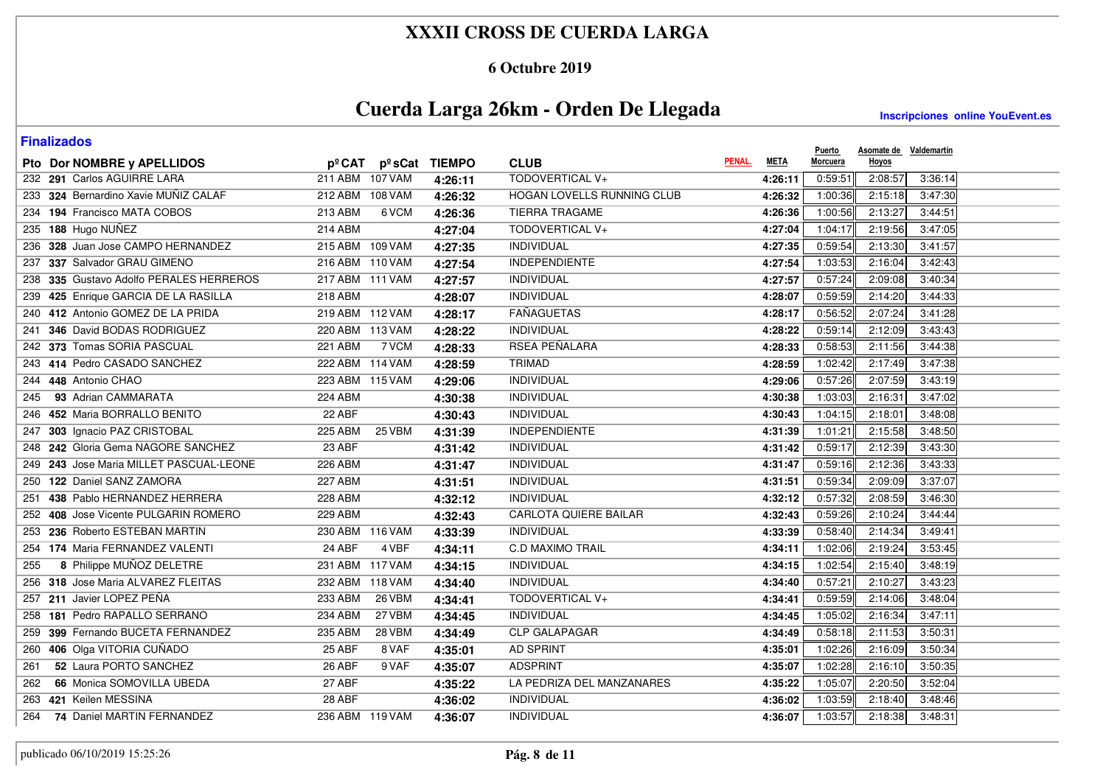### **6 Octubre 2019**

# **Cuerda Larga 26km - Orden De Llegada**

| <b>Finalizados</b>                      |                          |               |                            |        |             | <b>Puerto</b> | Asomate de Valdemartin |         |
|-----------------------------------------|--------------------------|---------------|----------------------------|--------|-------------|---------------|------------------------|---------|
| Pto Dor NOMBRE y APELLIDOS              | pºCAT<br>pºsCat          | <b>TIEMPO</b> | <b>CLUB</b>                | PENAL. | <b>META</b> | Morcuera      | Hoyos                  |         |
| 232 291 Carlos AGUIRRE LARA             | 211 ABM 107 VAM          | 4:26:11       | TODOVERTICAL V+            |        | 4:26:11     | 0:59:51       | 2:08:57                | 3:36:14 |
| 233 324 Bernardino Xavie MUÑIZ CALAF    | 212 ABM 108 VAM          | 4:26:32       | HOGAN LOVELLS RUNNING CLUB |        | 4:26:32     | 1:00:36       | 2:15:18                | 3:47:30 |
| 234 194 Francisco MATA COBOS            | 213 ABM<br>6 VCM         | 4:26:36       | <b>TIERRA TRAGAME</b>      |        | 4:26:36     | 1:00:56       | 2:13:27                | 3:44:51 |
| 235 188 Hugo NUÑEZ                      | 214 ABM                  | 4:27:04       | TODOVERTICAL V+            |        | 4:27:04     | 1:04:17       | 2:19:56                | 3:47:05 |
| 236 328 Juan Jose CAMPO HERNANDEZ       | 215 ABM 109 VAM          | 4:27:35       | INDIVIDUAL                 |        | 4:27:35     | 0:59:54       | 2:13:30                | 3:41:57 |
| 237 337 Salvador GRAU GIMENO            | 216 ABM 110 VAM          | 4:27:54       | <b>INDEPENDIENTE</b>       |        | 4:27:54     | 1:03:53       | 2:16:04                | 3:42:43 |
| 238 335 Gustavo Adolfo PERALES HERREROS | 217 ABM 111 VAM          | 4:27:57       | <b>INDIVIDUAL</b>          |        | 4:27:57     | 0:57:24       | 2:09:08                | 3:40:34 |
| 239 425 Enrique GARCIA DE LA RASILLA    | <b>218 ABM</b>           | 4:28:07       | <b>INDIVIDUAL</b>          |        | 4:28:07     | 0:59:59       | 2:14:20                | 3:44:33 |
| 240 412 Antonio GOMEZ DE LA PRIDA       | 219 ABM 112 VAM          | 4:28:17       | <b>FAÑAGUETAS</b>          |        | 4:28:17     | 0:56:52       | 2:07:24                | 3:41:28 |
| 241 346 David BODAS RODRIGUEZ           | 220 ABM 113 VAM          | 4:28:22       | <b>INDIVIDUAL</b>          |        | 4:28:22     | 0:59:14       | 2:12:09                | 3:43:43 |
| 242 373 Tomas SORIA PASCUAL             | <b>221 ABM</b><br>7 VCM  | 4:28:33       | RSEA PEÑALARA              |        | 4:28:33     | 0:58:53       | 2:11:56                | 3:44:38 |
| 243 414 Pedro CASADO SANCHEZ            | 222 ABM 114 VAM          | 4:28:59       | TRIMAD                     |        | 4:28:59     | 1:02:42       | 2:17:49                | 3:47:38 |
| 244 448 Antonio CHAO                    | 223 ABM 115 VAM          | 4:29:06       | INDIVIDUAL                 |        | 4:29:06     | 0:57:26       | 2:07:59                | 3:43:19 |
| 93 Adrian CAMMARATA<br>245              | <b>224 ABM</b>           | 4:30:38       | INDIVIDUAL                 |        | 4:30:38     | 1:03:03       | 2:16:31                | 3:47:02 |
| 246 452 Maria BORRALLO BENITO           | 22 ABF                   | 4:30:43       | INDIVIDUAL                 |        | 4:30:43     | 1:04:15       | 2:18:01                | 3:48:08 |
| 247 303 Ignacio PAZ CRISTOBAL           | <b>225 ABM</b><br>25 VBM | 4:31:39       | <b>INDEPENDIENTE</b>       |        | 4:31:39     | 1:01:21       | 2:15:58                | 3:48:50 |
| 248 242 Gloria Gema NAGORE SANCHEZ      | 23 ABF                   | 4:31:42       | <b>INDIVIDUAL</b>          |        | 4:31:42     | 0:59:17       | 2:12:39                | 3:43:30 |
| 249 243 Jose Maria MILLET PASCUAL-LEONE | 226 ABM                  | 4:31:47       | INDIVIDUAL                 |        | 4:31:47     | 0:59:16       | 2:12:36                | 3:43:33 |
| 250 122 Daniel SANZ ZAMORA              | 227 ABM                  | 4:31:51       | INDIVIDUAL                 |        | 4:31:51     | 0:59:34       | 2:09:09                | 3:37:07 |
| 251 438 Pablo HERNANDEZ HERRERA         | 228 ABM                  | 4:32:12       | <b>INDIVIDUAL</b>          |        | 4:32:12     | 0:57:32       | 2:08:59                | 3:46:30 |
| 252 408 Jose Vicente PULGARIN ROMERO    | 229 ABM                  | 4:32:43       | CARLOTA QUIERE BAILAR      |        | 4:32:43     | 0:59:26       | 2:10:24                | 3:44:44 |
| 253 236 Roberto ESTEBAN MARTIN          | 230 ABM 116 VAM          | 4:33:39       | INDIVIDUAL                 |        | 4:33:39     | 0:58:40       | 2:14:34                | 3:49:41 |
| 254 174 Maria FERNANDEZ VALENTI         | 24 ABF<br>4 VBF          | 4:34:11       | <b>C.D MAXIMO TRAIL</b>    |        | 4:34:11     | 1:02:06       | 2:19:24                | 3:53:45 |
| 8 Philippe MUÑOZ DELETRE<br>255         | 231 ABM 117 VAM          | 4:34:15       | <b>INDIVIDUAL</b>          |        | 4:34:15     | 1:02:54       | 2:15:40                | 3:48:19 |
| 256 318 Jose Maria ALVAREZ FLEITAS      | 232 ABM 118 VAM          | 4:34:40       | <b>INDIVIDUAL</b>          |        | 4:34:40     | 0:57:21       | 2:10:27                | 3:43:23 |
| 257 211 Javier LOPEZ PEÑA               | 233 ABM<br><b>26 VBM</b> | 4:34:41       | TODOVERTICAL V+            |        | 4:34:41     | 0:59:59       | 2:14:06                | 3:48:04 |
| 258 181 Pedro RAPALLO SERRANO           | <b>234 ABM</b><br>27 VBM | 4:34:45       | <b>INDIVIDUAL</b>          |        | 4:34:45     | 1:05:02       | 2:16:34                | 3:47:11 |
| 259 399 Fernando BUCETA FERNANDEZ       | 235 ABM<br><b>28 VBM</b> | 4:34:49       | <b>CLP GALAPAGAR</b>       |        | 4:34:49     | 0:58:18       | 2:11:53                | 3:50:31 |
| 260 406 Olga VITORIA CUÑADO             | 25 ABF<br>8 VAF          | 4:35:01       | <b>AD SPRINT</b>           |        | 4:35:01     | 1:02:26       | 2:16:09                | 3:50:34 |
| 52 Laura PORTO SANCHEZ<br>261           | 26 ABF<br>9 VAF          | 4:35:07       | <b>ADSPRINT</b>            |        | 4:35:07     | 1:02:28       | 2:16:10                | 3:50:35 |
| 66 Monica SOMOVILLA UBEDA<br>262        | 27 ABF                   | 4:35:22       | LA PEDRIZA DEL MANZANARES  |        | 4:35:22     | 1:05:07       | 2:20:50                | 3:52:04 |
| 263 421 Keilen MESSINA                  | 28 ABF                   | 4:36:02       | INDIVIDUAL                 |        | 4:36:02     | 1:03:59       | 2:18:40                | 3:48:46 |
| 74 Daniel MARTIN FERNANDEZ<br>264       | 236 ABM 119 VAM          | 4:36:07       | INDIVIDUAL                 |        | 4:36:07     | 1:03:57       | 2:18:38                | 3:48:31 |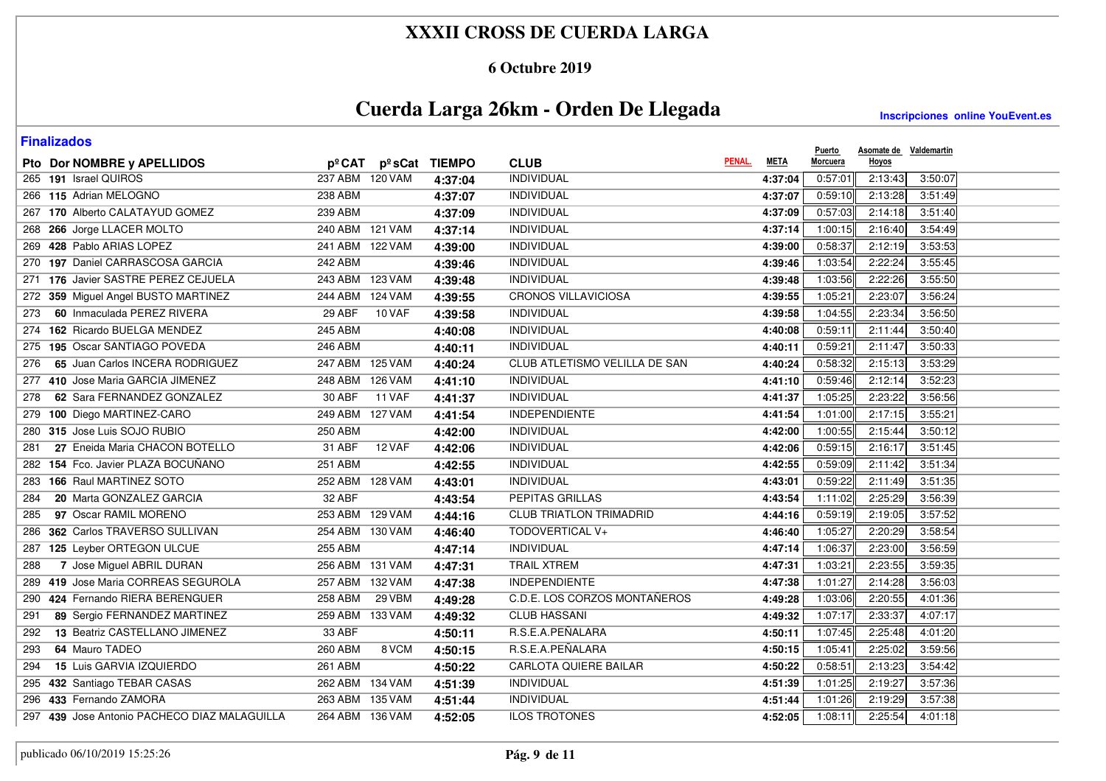#### **6 Octubre 2019**

# **Cuerda Larga 26km - Orden De Llegada**

| <b>Finalizados</b>                           |                                  |               |                                |        |             |                           | Asomate de Valdemartin |  |
|----------------------------------------------|----------------------------------|---------------|--------------------------------|--------|-------------|---------------------------|------------------------|--|
| Pto Dor NOMBRE y APELLIDOS                   | $p^{\circ}$ CAT $p^{\circ}$ sCat | <b>TIEMPO</b> | <b>CLUB</b>                    | PENAL. | <b>META</b> | <b>Puerto</b><br>Morcuera | Hoyos                  |  |
| 265 191 Israel QUIROS                        | 237 ABM 120 VAM                  | 4:37:04       | <b>INDIVIDUAL</b>              |        | 4:37:04     | 0:57:01                   | 2:13:43<br>3:50:07     |  |
| 266 115 Adrian MELOGNO                       | 238 ABM                          | 4:37:07       | <b>INDIVIDUAL</b>              |        | 4:37:07     | 0:59:10                   | 2:13:28<br>3:51:49     |  |
| 267 170 Alberto CALATAYUD GOMEZ              | 239 ABM                          | 4:37:09       | <b>INDIVIDUAL</b>              |        | 4:37:09     | 0:57:03                   | 2:14:18<br>3:51:40     |  |
| 268 266 Jorge LLACER MOLTO                   | 240 ABM 121 VAM                  | 4:37:14       | <b>INDIVIDUAL</b>              |        | 4:37:14     | 1:00:15                   | 2:16:40<br>3:54:49     |  |
| 269 428 Pablo ARIAS LOPEZ                    | 241 ABM 122 VAM                  | 4:39:00       | INDIVIDUAL                     |        | 4:39:00     | 0:58:37                   | 2:12:19<br>3:53:53     |  |
| 270 197 Daniel CARRASCOSA GARCIA             | 242 ABM                          | 4:39:46       | <b>INDIVIDUAL</b>              |        | 4:39:46     | 1:03:54                   | 2:22:24<br>3:55:45     |  |
| 271 176 Javier SASTRE PEREZ CEJUELA          | 243 ABM 123 VAM                  | 4:39:48       | <b>INDIVIDUAL</b>              |        | 4:39:48     | 1:03:56                   | 2:22:26<br>3:55:50     |  |
| 272 359 Miguel Angel BUSTO MARTINEZ          | 244 ABM 124 VAM                  | 4:39:55       | <b>CRONOS VILLAVICIOSA</b>     |        | 4:39:55     | 1:05:21                   | 2:23:07<br>3:56:24     |  |
| 60 Inmaculada PEREZ RIVERA<br>273            | 29 ABF<br>10 VAF                 | 4:39:58       | INDIVIDUAL                     |        | 4:39:58     | 1:04:55                   | 2:23:34<br>3:56:50     |  |
| 162 Ricardo BUELGA MENDEZ<br>274             | 245 ABM                          | 4:40:08       | <b>INDIVIDUAL</b>              |        | 4:40:08     | 0:59:11                   | 2:11:44<br>3:50:40     |  |
| 275 195 Oscar SANTIAGO POVEDA                | <b>246 ABM</b>                   | 4:40:11       | <b>INDIVIDUAL</b>              |        | 4:40:11     | 0:59:21                   | 2:11:47<br>3:50:33     |  |
| 65 Juan Carlos INCERA RODRIGUEZ<br>276       | 247 ABM 125 VAM                  | 4:40:24       | CLUB ATLETISMO VELILLA DE SAN  |        | 4:40:24     | 0:58:32                   | 2:15:13<br>3:53:29     |  |
| 277 410 Jose Maria GARCIA JIMENEZ            | 248 ABM 126 VAM                  | 4:41:10       | <b>INDIVIDUAL</b>              |        | 4:41:10     | 0:59:46                   | 2:12:14<br>3:52:23     |  |
| 62 Sara FERNANDEZ GONZALEZ<br>278            | 30 ABF<br><b>11 VAF</b>          | 4:41:37       | INDIVIDUAL                     |        | 4:41:37     | 1:05:25                   | 2:23:22<br>3:56:56     |  |
| 279 100 Diego MARTINEZ-CARO                  | 249 ABM 127 VAM                  | 4:41:54       | <b>INDEPENDIENTE</b>           |        | 4:41:54     | 1:01:00                   | 2:17:15<br>3:55:21     |  |
| 280 315 Jose Luis SOJO RUBIO                 | 250 ABM                          | 4:42:00       | INDIVIDUAL                     |        | 4:42:00     | 1:00:55                   | 2:15:44<br>3:50:12     |  |
| 27 Eneida Maria CHACON BOTELLO<br>281        | 31 ABF<br>12 VAF                 | 4:42:06       | <b>INDIVIDUAL</b>              |        | 4:42:06     | 0:59:15                   | 2:16:17<br>3:51:45     |  |
| 154 Fco. Javier PLAZA BOCUÑANO<br>282        | 251 ABM                          | 4:42:55       | <b>INDIVIDUAL</b>              |        | 4:42:55     | 0:59:09                   | 2:11:42<br>3:51:34     |  |
| 166 Raul MARTINEZ SOTO<br>283                | 252 ABM 128 VAM                  | 4:43:01       | INDIVIDUAL                     |        | 4:43:01     | 0:59:22                   | 2:11:49<br>3:51:35     |  |
| 20 Marta GONZALEZ GARCIA<br>284              | 32 ABF                           | 4:43:54       | PEPITAS GRILLAS                |        | 4:43:54     | 1:11:02                   | 2:25:29<br>3:56:39     |  |
| 97 Oscar RAMIL MORENO<br>285                 | 253 ABM 129 VAM                  | 4:44:16       | <b>CLUB TRIATLON TRIMADRID</b> |        | 4:44:16     | 0:59:19                   | 2:19:05<br>3:57:52     |  |
| 286 362 Carlos TRAVERSO SULLIVAN             | 254 ABM 130 VAM                  | 4:46:40       | TODOVERTICAL V+                |        | 4:46:40     | 1:05:27                   | 2:20:29<br>3:58:54     |  |
| 287 125 Leyber ORTEGON ULCUE                 | <b>255 ABM</b>                   | 4:47:14       | <b>INDIVIDUAL</b>              |        | 4:47:14     | 1:06:37                   | 2:23:00<br>3:56:59     |  |
| 7 Jose Miguel ABRIL DURAN<br>288             | 256 ABM 131 VAM                  | 4:47:31       | <b>TRAIL XTREM</b>             |        | 4:47:31     | 1:03:21                   | 2:23:55<br>3:59:35     |  |
| 419 Jose Maria CORREAS SEGUROLA<br>289       | 257 ABM 132 VAM                  | 4:47:38       | <b>INDEPENDIENTE</b>           |        | 4:47:38     | 1:01:27                   | 2:14:28<br>3:56:03     |  |
| 424 Fernando RIERA BERENGUER<br>290          | 258 ABM<br>29 VBM                | 4:49:28       | C.D.E. LOS CORZOS MONTAÑEROS   |        | 4:49:28     | 1:03:06                   | 2:20:55<br>4:01:36     |  |
| 89 Sergio FERNANDEZ MARTINEZ<br>291          | 259 ABM 133 VAM                  | 4:49:32       | <b>CLUB HASSANI</b>            |        | 4:49:32     | 1:07:17                   | 2:33:37<br>4:07:17     |  |
| 13 Beatriz CASTELLANO JIMENEZ<br>292         | 33 ABF                           | 4:50:11       | R.S.E.A.PEÑALARA               |        | 4:50:11     | 1:07:45                   | 2:25:48<br>4:01:20     |  |
| 64 Mauro TADEO<br>293                        | 260 ABM<br>8 VCM                 | 4:50:15       | R.S.E.A.PEÑALARA               |        | 4:50:15     | 1:05:41                   | 2:25:02<br>3:59:56     |  |
| 15 Luis GARVIA IZQUIERDO<br>294              | 261 ABM                          | 4:50:22       | <b>CARLOTA QUIERE BAILAR</b>   |        | 4:50:22     | 0:58:51                   | 2:13:23<br>3:54:42     |  |
| 295 432 Santiago TEBAR CASAS                 | 262 ABM 134 VAM                  | 4:51:39       | INDIVIDUAL                     |        | 4:51:39     | 1:01:25                   | 2:19:27<br>3:57:36     |  |
| 296 433 Fernando ZAMORA                      | 263 ABM 135 VAM                  | 4:51:44       | <b>INDIVIDUAL</b>              |        | 4:51:44     | 1:01:26                   | 2:19:29<br>3:57:38     |  |
| 297 439 Jose Antonio PACHECO DIAZ MALAGUILLA | 264 ABM 136 VAM                  | 4:52:05       | <b>ILOS TROTONES</b>           |        | 4:52:05     | 1:08:11                   | 2:25:54<br>4:01:18     |  |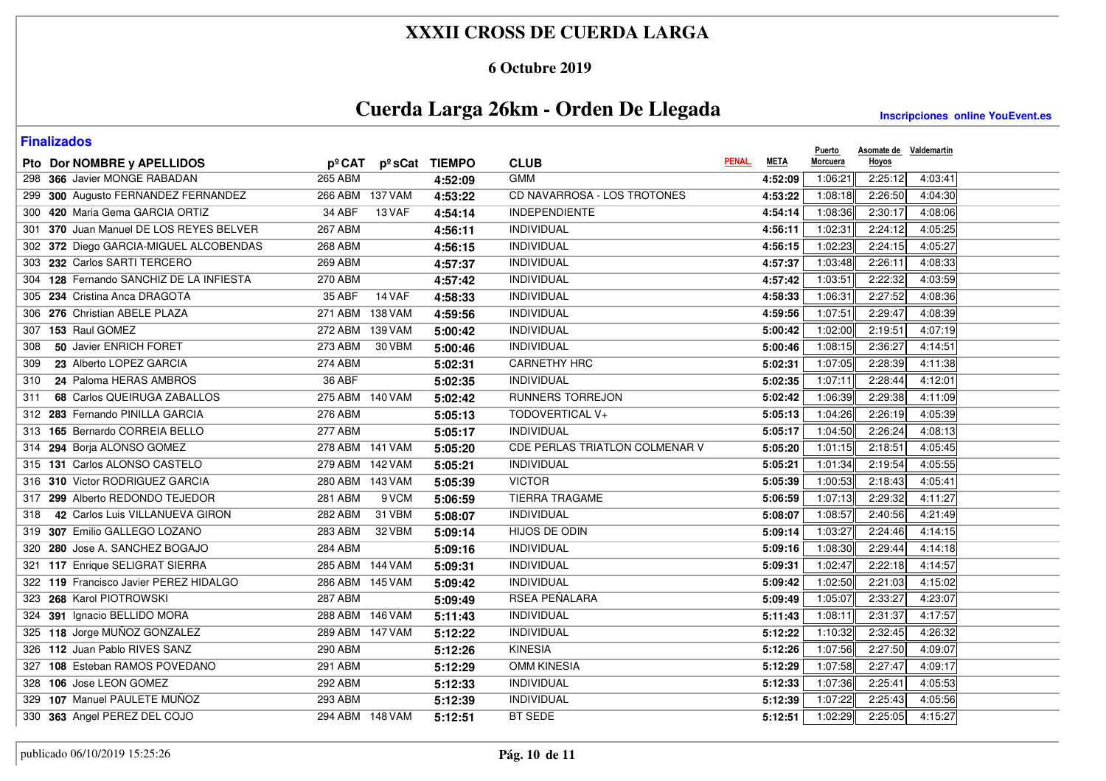### **6 Octubre 2019**

# **Cuerda Larga 26km - Orden De Llegada**

| <b>Finalizados</b>                      |                          |               |                                |             | <b>Puerto</b> | Asomate de Valdemartin |  |
|-----------------------------------------|--------------------------|---------------|--------------------------------|-------------|---------------|------------------------|--|
| Pto Dor NOMBRE y APELLIDOS              | pºCAT                    | pºsCat TIEMPO | PENAL.<br><b>CLUB</b>          | <b>META</b> | Morcuera      | Hoyos                  |  |
| 298 366 Javier MONGE RABADAN            | <b>265 ABM</b>           | 4:52:09       | <b>GMM</b>                     | 4:52:09     | 1:06:21       | 2:25:12<br>4:03:41     |  |
| 299 300 Augusto FERNANDEZ FERNANDEZ     | 266 ABM 137 VAM          | 4:53:22       | CD NAVARROSA - LOS TROTONES    | 4:53:22     | 1:08:18       | 2:26:50<br>4:04:30     |  |
| 300 420 Maria Gema GARCIA ORTIZ         | 34 ABF<br>13 VAF         | 4:54:14       | <b>INDEPENDIENTE</b>           | 4:54:14     | 1:08:36       | 2:30:17<br>4:08:06     |  |
| 301 370 Juan Manuel DE LOS REYES BELVER | 267 ABM                  | 4:56:11       | <b>INDIVIDUAL</b>              | 4:56:11     | 1:02:31       | 2:24:12<br>4:05:25     |  |
| 302 372 Diego GARCIA-MIGUEL ALCOBENDAS  | 268 ABM                  | 4:56:15       | INDIVIDUAL                     | 4:56:15     | 1:02:23       | 2:24:15<br>4:05:27     |  |
| 303 232 Carlos SARTI TERCERO            | 269 ABM                  | 4:57:37       | INDIVIDUAL                     | 4:57:37     | 1:03:48       | 2:26:11<br>4:08:33     |  |
| 304 128 Fernando SANCHIZ DE LA INFIESTA | <b>270 ABM</b>           | 4:57:42       | <b>INDIVIDUAL</b>              | 4:57:42     | 1:03:51       | 2:22:32<br>4:03:59     |  |
| 305 234 Cristina Anca DRAGOTA           | 35 ABF<br>$14$ VAF       | 4:58:33       | <b>INDIVIDUAL</b>              | 4:58:33     | 1:06:31       | 2:27:52<br>4:08:36     |  |
| 306 276 Christian ABELE PLAZA           | 271 ABM 138 VAM          | 4:59:56       | INDIVIDUAL                     | 4:59:56     | 1:07:51       | 2:29:47<br>4:08:39     |  |
| 307 153 Raul GOMEZ                      | 272 ABM 139 VAM          | 5:00:42       | INDIVIDUAL                     | 5:00:42     | 1:02:00       | 2:19:51<br>4:07:19     |  |
| 50 Javier ENRICH FORET<br>308           | 273 ABM<br>30 VBM        | 5:00:46       | <b>INDIVIDUAL</b>              | 5:00:46     | 1:08:15       | 2:36:27<br>4:14:51     |  |
| 23 Alberto LOPEZ GARCIA<br>309          | 274 ABM                  | 5:02:31       | <b>CARNETHY HRC</b>            | 5:02:31     | 1:07:05       | 2:28:39<br>4:11:38     |  |
| 24 Paloma HERAS AMBROS<br>310           | 36 ABF                   | 5:02:35       | INDIVIDUAL                     | 5:02:35     | 1:07:11       | 2:28:44<br>4:12:01     |  |
| 68 Carlos QUEIRUGA ZABALLOS<br>311      | 275 ABM 140 VAM          | 5:02:42       | RUNNERS TORREJON               | 5:02:42     | 1:06:39       | 2:29:38<br>4:11:09     |  |
| 312 283 Fernando PINILLA GARCIA         | <b>276 ABM</b>           | 5:05:13       | TODOVERTICAL V+                | 5:05:13     | 1:04:26       | 2:26:19<br>4:05:39     |  |
| 313 165 Bernardo CORREIA BELLO          | <b>277 ABM</b>           | 5:05:17       | <b>INDIVIDUAL</b>              | 5:05:17     | 1:04:50       | 2:26:24<br>4:08:13     |  |
| 314 294 Boria ALONSO GOMEZ              | 278 ABM 141 VAM          | 5:05:20       | CDE PERLAS TRIATLON COLMENAR V | 5:05:20     | 1:01:15       | 2:18:51<br>4:05:45     |  |
| 315 131 Carlos ALONSO CASTELO           | 279 ABM 142 VAM          | 5:05:21       | <b>INDIVIDUAL</b>              | 5:05:21     | 1:01:34       | 2:19:54<br>4:05:55     |  |
| 316 310 Victor RODRIGUEZ GARCIA         | 280 ABM 143 VAM          | 5:05:39       | <b>VICTOR</b>                  | 5:05:39     | 1:00:53       | 2:18:43<br>4:05:41     |  |
| 317 299 Alberto REDONDO TEJEDOR         | 281 ABM<br>9 VCM         | 5:06:59       | <b>TIERRA TRAGAME</b>          | 5:06:59     | 1:07:13       | 2:29:32<br>4:11:27     |  |
| 42 Carlos Luis VILLANUEVA GIRON<br>318  | <b>282 ABM</b><br>31 VBM | 5:08:07       | <b>INDIVIDUAL</b>              | 5:08:07     | 1:08:57       | 2:40:56<br>4:21:49     |  |
| 319 307 Emilio GALLEGO LOZANO           | 283 ABM<br>32 VBM        | 5:09:14       | HIJOS DE ODIN                  | 5:09:14     | 1:03:27       | 2:24:46<br>4:14:15     |  |
| 320 280 Jose A. SANCHEZ BOGAJO          | <b>284 ABM</b>           | 5:09:16       | <b>INDIVIDUAL</b>              | 5:09:16     | 1:08:30       | 2:29:44<br>4:14:18     |  |
| 321 117 Enrique SELIGRAT SIERRA         | 285 ABM 144 VAM          | 5:09:31       | <b>INDIVIDUAL</b>              | 5:09:31     | 1:02:47       | 2:22:18<br>4:14:57     |  |
| 322 119 Francisco Javier PEREZ HIDALGO  | 286 ABM 145 VAM          | 5:09:42       | INDIVIDUAL                     | 5:09:42     | 1:02:50       | 2:21:03<br>4:15:02     |  |
| 323 268 Karol PIOTROWSKI                | 287 ABM                  | 5:09:49       | RSEA PEÑALARA                  | 5:09:49     | 1:05:07       | 2:33:27<br>4:23:07     |  |
| 324 391 Ignacio BELLIDO MORA            | 288 ABM 146 VAM          | 5:11:43       | <b>INDIVIDUAL</b>              | 5:11:43     | 1:08:11       | 2:31:37<br>4:17:57     |  |
| 325 118 Jorge MUÑOZ GONZALEZ            | 289 ABM 147 VAM          | 5:12:22       | INDIVIDUAL                     | 5:12:22     | 1:10:32       | 2:32:45<br>4:26:32     |  |
| 326 112 Juan Pablo RIVES SANZ           | 290 ABM                  | 5:12:26       | <b>KINESIA</b>                 | 5:12:26     | 1:07:56       | 2:27:50<br>4:09:07     |  |
| 327 108 Esteban RAMOS POVEDANO          | 291 ABM                  | 5:12:29       | <b>OMM KINESIA</b>             | 5:12:29     | 1:07:58       | 2:27:47<br>4:09:17     |  |
| 328 106 Jose LEON GOMEZ                 | 292 ABM                  | 5:12:33       | INDIVIDUAL                     | 5:12:33     | 1:07:36       | 2:25:41<br>4:05:53     |  |
| 329 107 Manuel PAULETE MUÑOZ            | 293 ABM                  | 5:12:39       | <b>INDIVIDUAL</b>              | 5:12:39     | 1:07:22       | 2:25:43<br>4:05:56     |  |
| 330 363 Angel PEREZ DEL COJO            | 294 ABM 148 VAM          | 5:12:51       | <b>BT SEDE</b>                 | 5:12:51     | 1:02:29       | 2:25:05<br>4:15:27     |  |